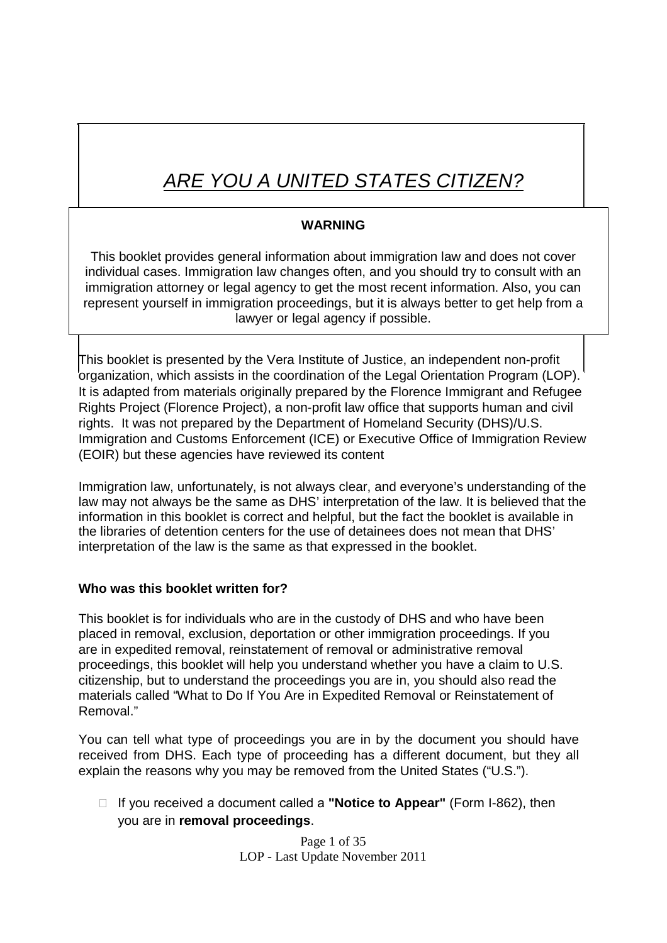# *ARE YOU A UNITED STATES CITIZEN?*

### **WARNING**

This booklet provides general information about immigration law and does not cover individual cases. Immigration law changes often, and you should try to consult with an immigration attorney or legal agency to get the most recent information. Also, you can represent yourself in immigration proceedings, but it is always better to get help from a lawyer or legal agency if possible.

This booklet is presented by the Vera Institute of Justice, an independent non-profit organization, which assists in the coordination of the Legal Orientation Program (LOP). It is adapted from materials originally prepared by the Florence Immigrant and Refugee Rights Project (Florence Project), a non-profit law office that supports human and civil rights. It was not prepared by the Department of Homeland Security (DHS)/U.S. Immigration and Customs Enforcement (ICE) or Executive Office of Immigration Review (EOIR) but these agencies have reviewed its content

Immigration law, unfortunately, is not always clear, and everyone's understanding of the law may not always be the same as DHS' interpretation of the law. It is believed that the information in this booklet is correct and helpful, but the fact the booklet is available in the libraries of detention centers for the use of detainees does not mean that DHS' interpretation of the law is the same as that expressed in the booklet.

### **Who was this booklet written for?**

This booklet is for individuals who are in the custody of DHS and who have been placed in removal, exclusion, deportation or other immigration proceedings. If you are in expedited removal, reinstatement of removal or administrative removal proceedings, this booklet will help you understand whether you have a claim to U.S. citizenship, but to understand the proceedings you are in, you should also read the materials called "What to Do If You Are in Expedited Removal or Reinstatement of Removal."

You can tell what type of proceedings you are in by the document you should have received from DHS. Each type of proceeding has a different document, but they all explain the reasons why you may be removed from the United States ("U.S.").

□ If you received a document called a "**Notice to Appear**" (Form I-862), then you are in **removal proceedings**.

> Page 1 of 35 LOP - Last Update November 2011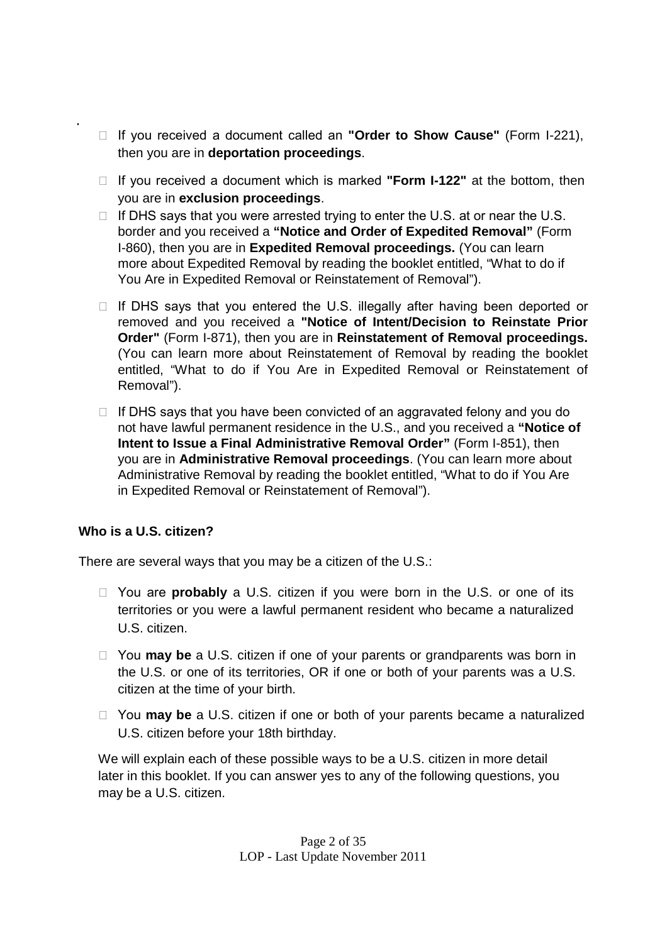- □ If you received a document called an "Order to Show Cause" (Form I-221), then you are in **deportation proceedings**.
- □ If you received a document which is marked "Form **I-122**" at the bottom, then you are in **exclusion proceedings**.
- $\Box$  If DHS says that you were arrested trying to enter the U.S. at or near the U.S. border and you received a **"Notice and Order of Expedited Removal"** (Form I-860), then you are in **Expedited Removal proceedings.** (You can learn more about Expedited Removal by reading the booklet entitled, "What to do if You Are in Expedited Removal or Reinstatement of Removal").
- $\Box$  If DHS says that you entered the U.S. illegally after having been deported or removed and you received a **"Notice of Intent/Decision to Reinstate Prior Order"** (Form I-871), then you are in **Reinstatement of Removal proceedings.** (You can learn more about Reinstatement of Removal by reading the booklet entitled, "What to do if You Are in Expedited Removal or Reinstatement of Removal").
- $\Box$  If DHS says that you have been convicted of an aggravated felony and you do not have lawful permanent residence in the U.S., and you received a **"Notice of Intent to Issue a Final Administrative Removal Order"** (Form I-851), then you are in **Administrative Removal proceedings**. (You can learn more about Administrative Removal by reading the booklet entitled, "What to do if You Are in Expedited Removal or Reinstatement of Removal").

### **Who is a U.S. citizen?**

There are several ways that you may be a citizen of the U.S.:

- □ You are **probably** a U.S. citizen if you were born in the U.S. or one of its territories or you were a lawful permanent resident who became a naturalized U.S. citizen.
- □ You **may be** a U.S. citizen if one of your parents or grandparents was born in the U.S. or one of its territories, OR if one or both of your parents was a U.S. citizen at the time of your birth.
- □ You **may be** a U.S. citizen if one or both of your parents became a naturalized U.S. citizen before your 18th birthday.

We will explain each of these possible ways to be a U.S. citizen in more detail later in this booklet. If you can answer yes to any of the following questions, you may be a U.S. citizen.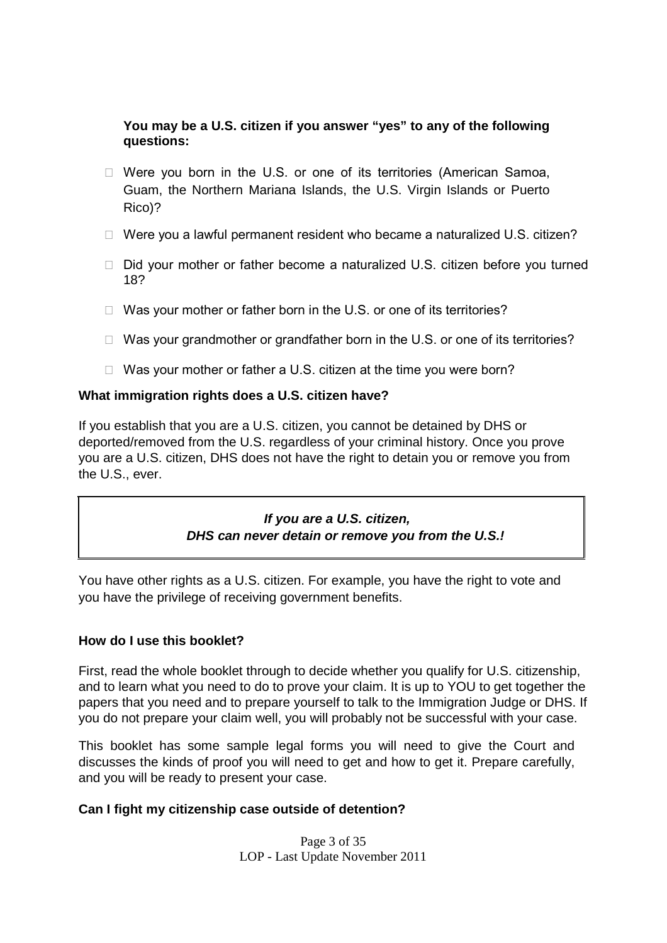### **You may be a U.S. citizen if you answer "yes" to any of the following questions:**

- $\Box$  Were you born in the U.S. or one of its territories (American Samoa, Guam, the Northern Mariana Islands, the U.S. Virgin Islands or Puerto Rico)?
- □ Were you a lawful permanent resident who became a naturalized U.S. citizen?
- $\Box$  Did your mother or father become a naturalized U.S. citizen before you turned 18?
- $\Box$  Was your mother or father born in the U.S. or one of its territories?
- $\Box$  Was your grandmother or grandfather born in the U.S. or one of its territories?
- $\Box$  Was your mother or father a U.S. citizen at the time you were born?

### **What immigration rights does a U.S. citizen have?**

If you establish that you are a U.S. citizen, you cannot be detained by DHS or deported/removed from the U.S. regardless of your criminal history. Once you prove you are a U.S. citizen, DHS does not have the right to detain you or remove you from the U.S., ever.

### *If you are a U.S. citizen, DHS can never detain or remove you from the U.S.!*

You have other rights as a U.S. citizen. For example, you have the right to vote and you have the privilege of receiving government benefits.

### **How do I use this booklet?**

First, read the whole booklet through to decide whether you qualify for U.S. citizenship, and to learn what you need to do to prove your claim. It is up to YOU to get together the papers that you need and to prepare yourself to talk to the Immigration Judge or DHS. If you do not prepare your claim well, you will probably not be successful with your case.

This booklet has some sample legal forms you will need to give the Court and discusses the kinds of proof you will need to get and how to get it. Prepare carefully, and you will be ready to present your case.

### **Can I fight my citizenship case outside of detention?**

Page 3 of 35 LOP - Last Update November 2011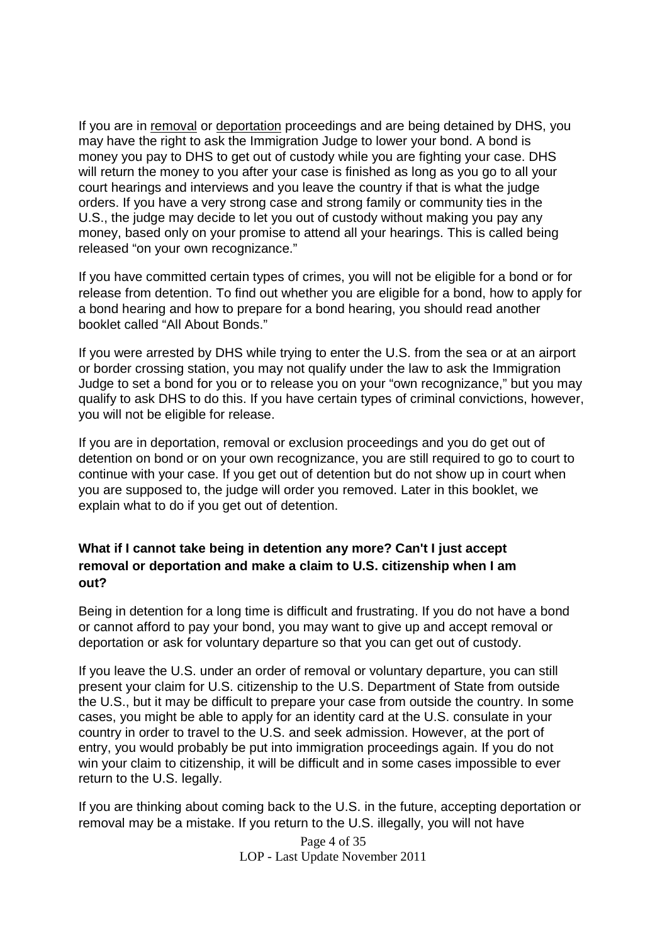If you are in removal or deportation proceedings and are being detained by DHS, you may have the right to ask the Immigration Judge to lower your bond. A bond is money you pay to DHS to get out of custody while you are fighting your case. DHS will return the money to you after your case is finished as long as you go to all your court hearings and interviews and you leave the country if that is what the judge orders. If you have a very strong case and strong family or community ties in the U.S., the judge may decide to let you out of custody without making you pay any money, based only on your promise to attend all your hearings. This is called being released "on your own recognizance."

If you have committed certain types of crimes, you will not be eligible for a bond or for release from detention. To find out whether you are eligible for a bond, how to apply for a bond hearing and how to prepare for a bond hearing, you should read another booklet called "All About Bonds."

If you were arrested by DHS while trying to enter the U.S. from the sea or at an airport or border crossing station, you may not qualify under the law to ask the Immigration Judge to set a bond for you or to release you on your "own recognizance," but you may qualify to ask DHS to do this. If you have certain types of criminal convictions, however, you will not be eligible for release.

If you are in deportation, removal or exclusion proceedings and you do get out of detention on bond or on your own recognizance, you are still required to go to court to continue with your case. If you get out of detention but do not show up in court when you are supposed to, the judge will order you removed. Later in this booklet, we explain what to do if you get out of detention.

### **What if I cannot take being in detention any more? Can't I just accept removal or deportation and make a claim to U.S. citizenship when I am out?**

Being in detention for a long time is difficult and frustrating. If you do not have a bond or cannot afford to pay your bond, you may want to give up and accept removal or deportation or ask for voluntary departure so that you can get out of custody.

If you leave the U.S. under an order of removal or voluntary departure, you can still present your claim for U.S. citizenship to the U.S. Department of State from outside the U.S., but it may be difficult to prepare your case from outside the country. In some cases, you might be able to apply for an identity card at the U.S. consulate in your country in order to travel to the U.S. and seek admission. However, at the port of entry, you would probably be put into immigration proceedings again. If you do not win your claim to citizenship, it will be difficult and in some cases impossible to ever return to the U.S. legally.

If you are thinking about coming back to the U.S. in the future, accepting deportation or removal may be a mistake. If you return to the U.S. illegally, you will not have

> Page 4 of 35 LOP - Last Update November 2011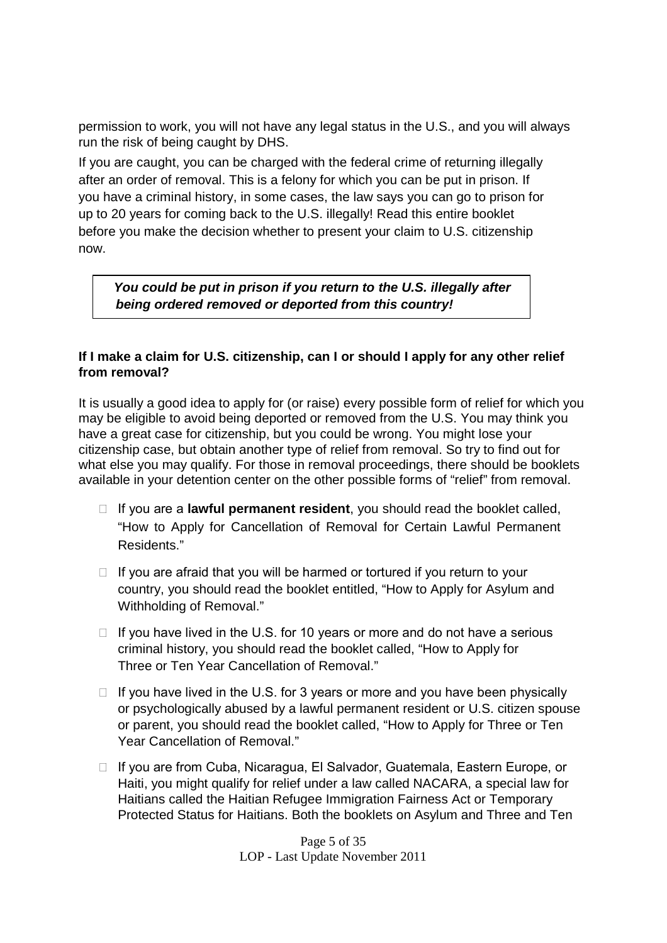permission to work, you will not have any legal status in the U.S., and you will always run the risk of being caught by DHS.

If you are caught, you can be charged with the federal crime of returning illegally after an order of removal. This is a felony for which you can be put in prison. If you have a criminal history, in some cases, the law says you can go to prison for up to 20 years for coming back to the U.S. illegally! Read this entire booklet before you make the decision whether to present your claim to U.S. citizenship now.

*You could be put in prison if you return to the U.S. illegally after being ordered removed or deported from this country!*

### **If I make a claim for U.S. citizenship, can I or should I apply for any other relief from removal?**

It is usually a good idea to apply for (or raise) every possible form of relief for which you may be eligible to avoid being deported or removed from the U.S. You may think you have a great case for citizenship, but you could be wrong. You might lose your citizenship case, but obtain another type of relief from removal. So try to find out for what else you may qualify. For those in removal proceedings, there should be booklets available in your detention center on the other possible forms of "relief" from removal.

- $\Box$  If you are a **lawful permanent resident**, you should read the booklet called, "How to Apply for Cancellation of Removal for Certain Lawful Permanent Residents."
- $\Box$  If you are afraid that you will be harmed or tortured if you return to your country, you should read the booklet entitled, "How to Apply for Asylum and Withholding of Removal."
- $\Box$  If you have lived in the U.S. for 10 years or more and do not have a serious criminal history, you should read the booklet called, "How to Apply for Three or Ten Year Cancellation of Removal."
- $\Box$  If you have lived in the U.S. for 3 years or more and you have been physically or psychologically abused by a lawful permanent resident or U.S. citizen spouse or parent, you should read the booklet called, "How to Apply for Three or Ten Year Cancellation of Removal."
- □ If you are from Cuba, Nicaragua, El Salvador, Guatemala, Eastern Europe, or Haiti, you might qualify for relief under a law called NACARA, a special law for Haitians called the Haitian Refugee Immigration Fairness Act or Temporary Protected Status for Haitians. Both the booklets on Asylum and Three and Ten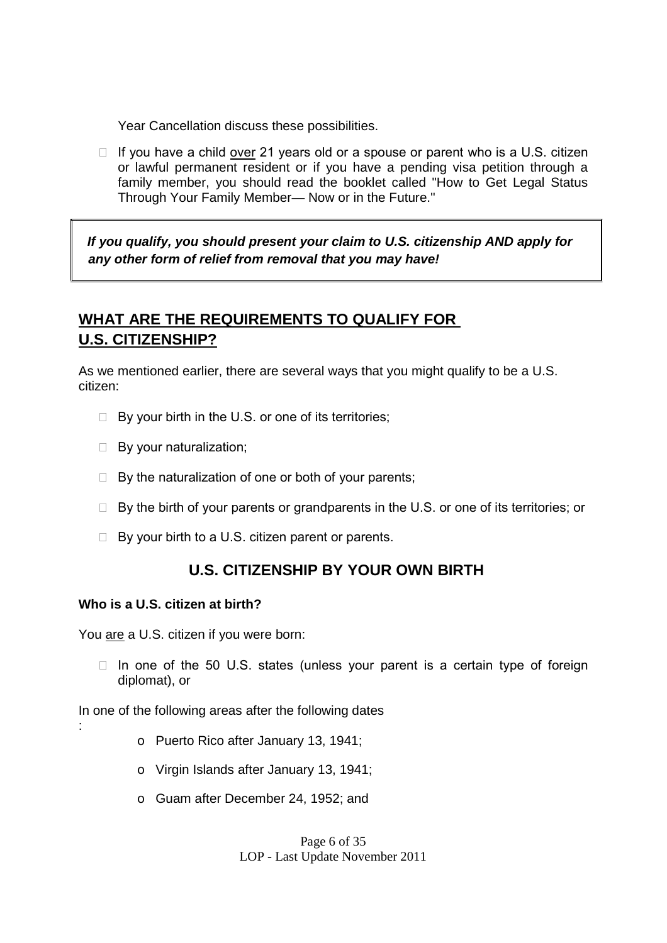Year Cancellation discuss these possibilities.

 $\Box$  If you have a child over 21 years old or a spouse or parent who is a U.S. citizen or lawful permanent resident or if you have a pending visa petition through a family member, you should read the booklet called "How to Get Legal Status Through Your Family Member— Now or in the Future."

*If you qualify, you should present your claim to U.S. citizenship AND apply for any other form of relief from removal that you may have!*

# **WHAT ARE THE REQUIREMENTS TO QUALIFY FOR U.S. CITIZENSHIP?**

As we mentioned earlier, there are several ways that you might qualify to be a U.S. citizen:

- $\Box$  By your birth in the U.S. or one of its territories;
- $\Box$  By your naturalization;
- $\Box$  By the naturalization of one or both of your parents;
- $\Box$  By the birth of your parents or grandparents in the U.S. or one of its territories; or
- $\Box$  By your birth to a U.S. citizen parent or parents.

### **U.S. CITIZENSHIP BY YOUR OWN BIRTH**

#### **Who is a U.S. citizen at birth?**

You are a U.S. citizen if you were born:

 $\Box$  In one of the 50 U.S. states (unless your parent is a certain type of foreign diplomat), or

In one of the following areas after the following dates

- :
- o Puerto Rico after January 13, 1941;
- o Virgin Islands after January 13, 1941;
- o Guam after December 24, 1952; and

Page 6 of 35 LOP - Last Update November 2011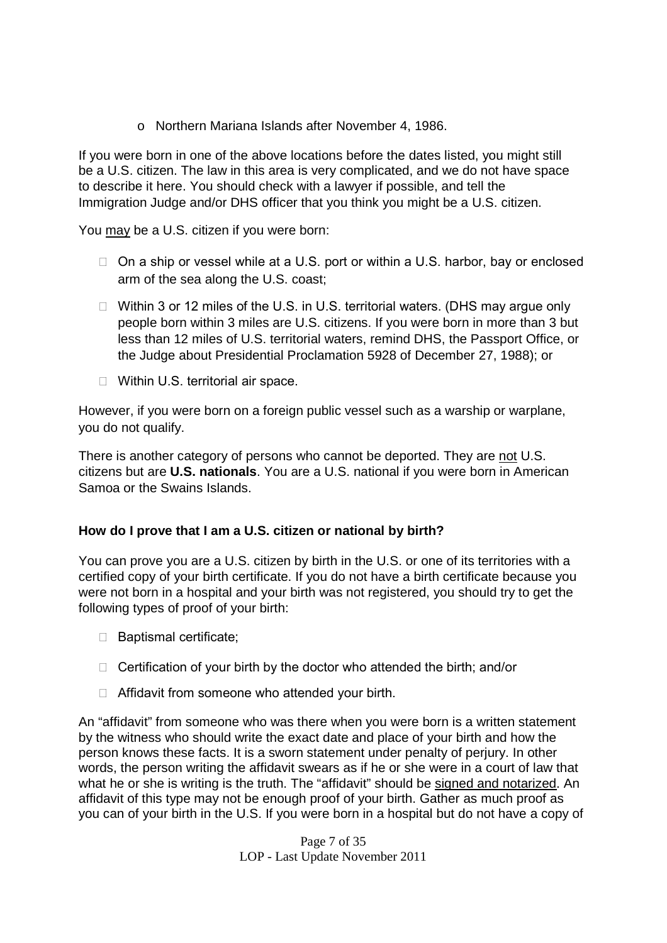o Northern Mariana Islands after November 4, 1986.

If you were born in one of the above locations before the dates listed, you might still be a U.S. citizen. The law in this area is very complicated, and we do not have space to describe it here. You should check with a lawyer if possible, and tell the Immigration Judge and/or DHS officer that you think you might be a U.S. citizen.

You may be a U.S. citizen if you were born:

- $\Box$  On a ship or vessel while at a U.S. port or within a U.S. harbor, bay or enclosed arm of the sea along the U.S. coast;
- $\Box$  Within 3 or 12 miles of the U.S. in U.S. territorial waters. (DHS may argue only people born within 3 miles are U.S. citizens. If you were born in more than 3 but less than 12 miles of U.S. territorial waters, remind DHS, the Passport Office, or the Judge about Presidential Proclamation 5928 of December 27, 1988); or
- □ Within U.S. territorial air space.

However, if you were born on a foreign public vessel such as a warship or warplane, you do not qualify.

There is another category of persons who cannot be deported. They are not U.S. citizens but are **U.S. nationals**. You are a U.S. national if you were born in American Samoa or the Swains Islands.

### **How do I prove that I am a U.S. citizen or national by birth?**

You can prove you are a U.S. citizen by birth in the U.S. or one of its territories with a certified copy of your birth certificate. If you do not have a birth certificate because you were not born in a hospital and your birth was not registered, you should try to get the following types of proof of your birth:

- □ Baptismal certificate;
- $\Box$  Certification of your birth by the doctor who attended the birth; and/or
- $\Box$  Affidavit from someone who attended your birth.

An "affidavit" from someone who was there when you were born is a written statement by the witness who should write the exact date and place of your birth and how the person knows these facts. It is a sworn statement under penalty of perjury. In other words, the person writing the affidavit swears as if he or she were in a court of law that what he or she is writing is the truth. The "affidavit" should be signed and notarized. An affidavit of this type may not be enough proof of your birth. Gather as much proof as you can of your birth in the U.S. If you were born in a hospital but do not have a copy of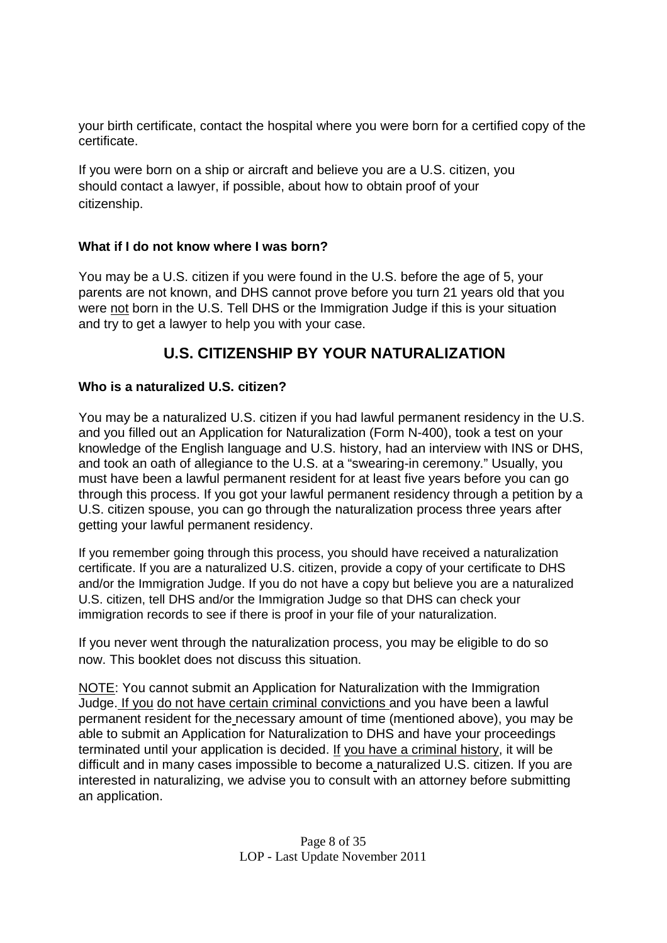your birth certificate, contact the hospital where you were born for a certified copy of the certificate.

If you were born on a ship or aircraft and believe you are a U.S. citizen, you should contact a lawyer, if possible, about how to obtain proof of your citizenship.

### **What if I do not know where I was born?**

You may be a U.S. citizen if you were found in the U.S. before the age of 5, your parents are not known, and DHS cannot prove before you turn 21 years old that you were not born in the U.S. Tell DHS or the Immigration Judge if this is your situation and try to get a lawyer to help you with your case.

# **U.S. CITIZENSHIP BY YOUR NATURALIZATION**

### **Who is a naturalized U.S. citizen?**

You may be a naturalized U.S. citizen if you had lawful permanent residency in the U.S. and you filled out an Application for Naturalization (Form N-400), took a test on your knowledge of the English language and U.S. history, had an interview with INS or DHS, and took an oath of allegiance to the U.S. at a "swearing-in ceremony." Usually, you must have been a lawful permanent resident for at least five years before you can go through this process. If you got your lawful permanent residency through a petition by a U.S. citizen spouse, you can go through the naturalization process three years after getting your lawful permanent residency.

If you remember going through this process, you should have received a naturalization certificate. If you are a naturalized U.S. citizen, provide a copy of your certificate to DHS and/or the Immigration Judge. If you do not have a copy but believe you are a naturalized U.S. citizen, tell DHS and/or the Immigration Judge so that DHS can check your immigration records to see if there is proof in your file of your naturalization.

If you never went through the naturalization process, you may be eligible to do so now. This booklet does not discuss this situation.

NOTE: You cannot submit an Application for Naturalization with the Immigration Judge. If you do not have certain criminal convictions and you have been a lawful permanent resident for the necessary amount of time (mentioned above), you may be able to submit an Application for Naturalization to DHS and have your proceedings terminated until your application is decided. If you have a criminal history, it will be difficult and in many cases impossible to become a naturalized U.S. citizen. If you are interested in naturalizing, we advise you to consult with an attorney before submitting an application.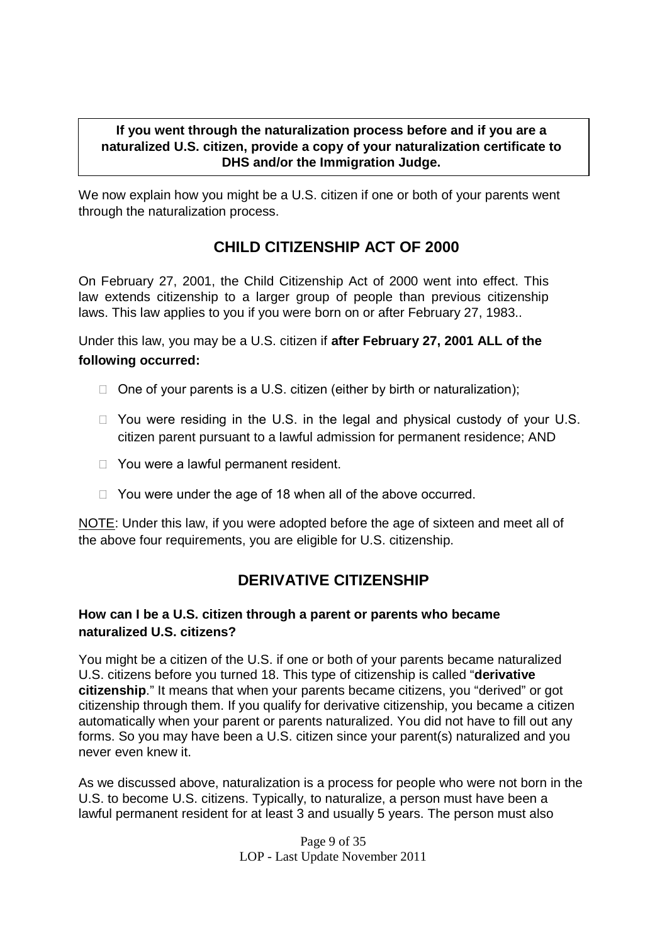### **If you went through the naturalization process before and if you are a naturalized U.S. citizen, provide a copy of your naturalization certificate to DHS and/or the Immigration Judge.**

We now explain how you might be a U.S. citizen if one or both of your parents went through the naturalization process.

# **CHILD CITIZENSHIP ACT OF 2000**

On February 27, 2001, the Child Citizenship Act of 2000 went into effect. This law extends citizenship to a larger group of people than previous citizenship laws. This law applies to you if you were born on or after February 27, 1983..

Under this law, you may be a U.S. citizen if **after February 27, 2001 ALL of the following occurred:**

- $\Box$  One of your parents is a U.S. citizen (either by birth or naturalization);
- $\Box$  You were residing in the U.S. in the legal and physical custody of your U.S. citizen parent pursuant to a lawful admission for permanent residence; AND
- □ You were a lawful permanent resident.
- $\Box$  You were under the age of 18 when all of the above occurred.

NOTE: Under this law, if you were adopted before the age of sixteen and meet all of the above four requirements, you are eligible for U.S. citizenship.

### **DERIVATIVE CITIZENSHIP**

### **How can I be a U.S. citizen through a parent or parents who became naturalized U.S. citizens?**

You might be a citizen of the U.S. if one or both of your parents became naturalized U.S. citizens before you turned 18. This type of citizenship is called "**derivative citizenship**." It means that when your parents became citizens, you "derived" or got citizenship through them. If you qualify for derivative citizenship, you became a citizen automatically when your parent or parents naturalized. You did not have to fill out any forms. So you may have been a U.S. citizen since your parent(s) naturalized and you never even knew it.

As we discussed above, naturalization is a process for people who were not born in the U.S. to become U.S. citizens. Typically, to naturalize, a person must have been a lawful permanent resident for at least 3 and usually 5 years. The person must also

> Page 9 of 35 LOP - Last Update November 2011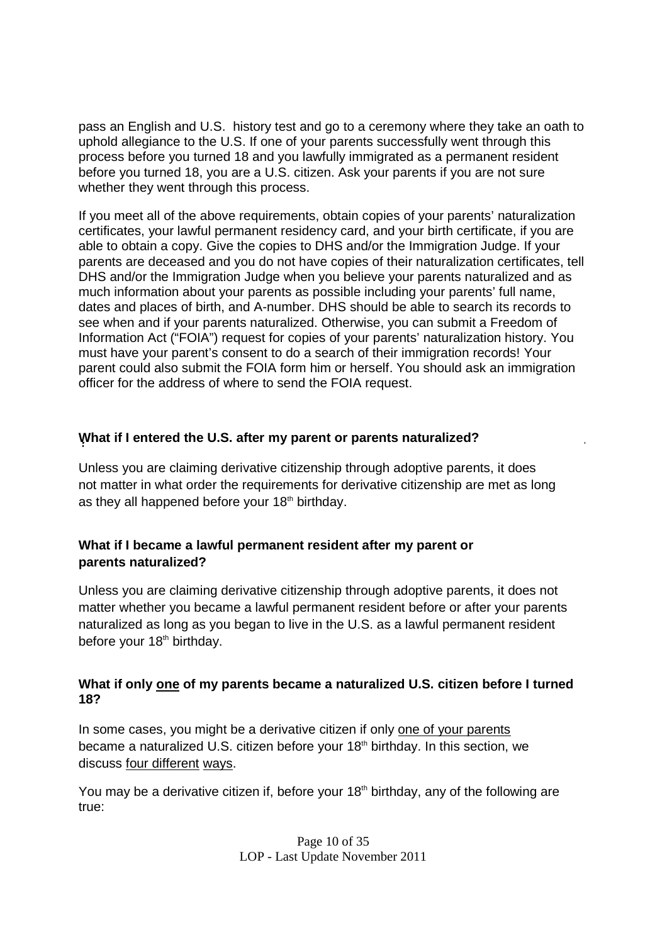pass an English and U.S. history test and go to a ceremony where they take an oath to uphold allegiance to the U.S. If one of your parents successfully went through this process before you turned 18 and you lawfully immigrated as a permanent resident before you turned 18, you are a U.S. citizen. Ask your parents if you are not sure whether they went through this process.

If you meet all of the above requirements, obtain copies of your parents' naturalization certificates, your lawful permanent residency card, and your birth certificate, if you are able to obtain a copy. Give the copies to DHS and/or the Immigration Judge. If your parents are deceased and you do not have copies of their naturalization certificates, tell DHS and/or the Immigration Judge when you believe your parents naturalized and as much information about your parents as possible including your parents' full name, dates and places of birth, and A-number. DHS should be able to search its records to see when and if your parents naturalized. Otherwise, you can submit a Freedom of Information Act ("FOIA") request for copies of your parents' naturalization history. You must have your parent's consent to do a search of their immigration records! Your parent could also submit the FOIA form him or herself. You should ask an immigration officer for the address of where to send the FOIA request.

### **What if I entered the U.S. after my parent or parents naturalized?**

Unless you are claiming derivative citizenship through adoptive parents, it does not matter in what order the requirements for derivative citizenship are met as long as they all happened before your  $18<sup>th</sup>$  birthday.

### **What if I became a lawful permanent resident after my parent or parents naturalized?**

Unless you are claiming derivative citizenship through adoptive parents, it does not matter whether you became a lawful permanent resident before or after your parents naturalized as long as you began to live in the U.S. as a lawful permanent resident before your 18<sup>th</sup> birthday.

### **What if only one of my parents became a naturalized U.S. citizen before I turned 18?**

In some cases, you might be a derivative citizen if only one of your parents became a naturalized U.S. citizen before your 18<sup>th</sup> birthday. In this section, we discuss four different ways.

You may be a derivative citizen if, before your  $18<sup>th</sup>$  birthday, any of the following are true: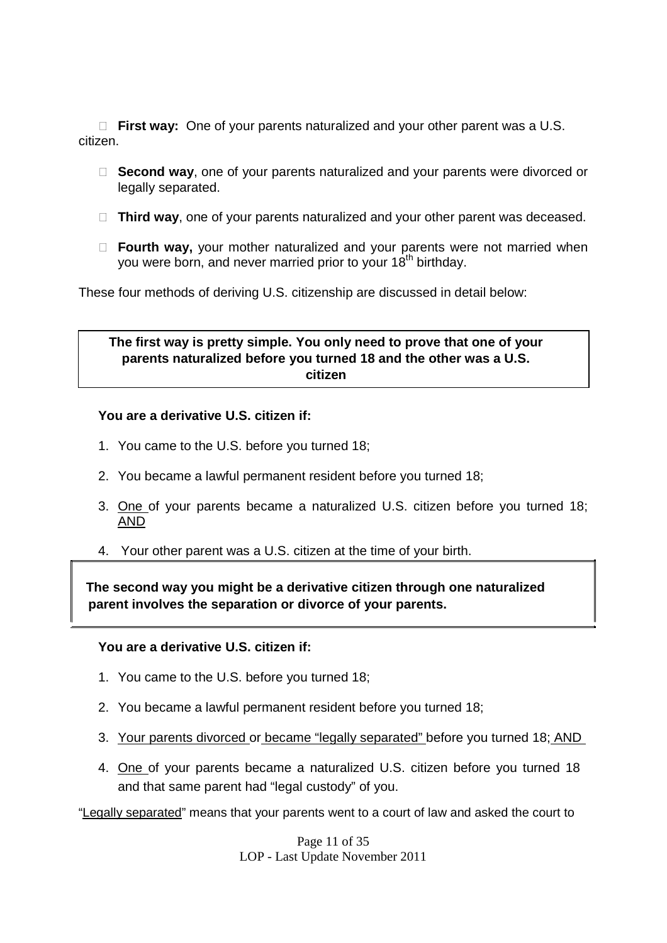**First way:** One of your parents naturalized and your other parent was a U.S. citizen.

- **Second way**, one of your parents naturalized and your parents were divorced or legally separated.
- □ Third way, one of your parents naturalized and your other parent was deceased.
- **Fourth way,** your mother naturalized and your parents were not married when you were born, and never married prior to your 18<sup>th</sup> birthday.

These four methods of deriving U.S. citizenship are discussed in detail below:

### **The first way is pretty simple. You only need to prove that one of your parents naturalized before you turned 18 and the other was a U.S. citizen**

#### **You are a derivative U.S. citizen if:**

- 1. You came to the U.S. before you turned 18;
- 2. You became a lawful permanent resident before you turned 18;
- 3. One of your parents became a naturalized U.S. citizen before you turned 18; AND
- 4. Your other parent was a U.S. citizen at the time of your birth.

**The second way you might be a derivative citizen through one naturalized parent involves the separation or divorce of your parents.**

#### **You are a derivative U.S. citizen if:**

- 1. You came to the U.S. before you turned 18;
- 2. You became a lawful permanent resident before you turned 18;
- 3. Your parents divorced or became "legally separated" before you turned 18; AND
- 4. One of your parents became a naturalized U.S. citizen before you turned 18 and that same parent had "legal custody" of you.

"Legally separated" means that your parents went to a court of law and asked the court to

Page 11 of 35 LOP - Last Update November 2011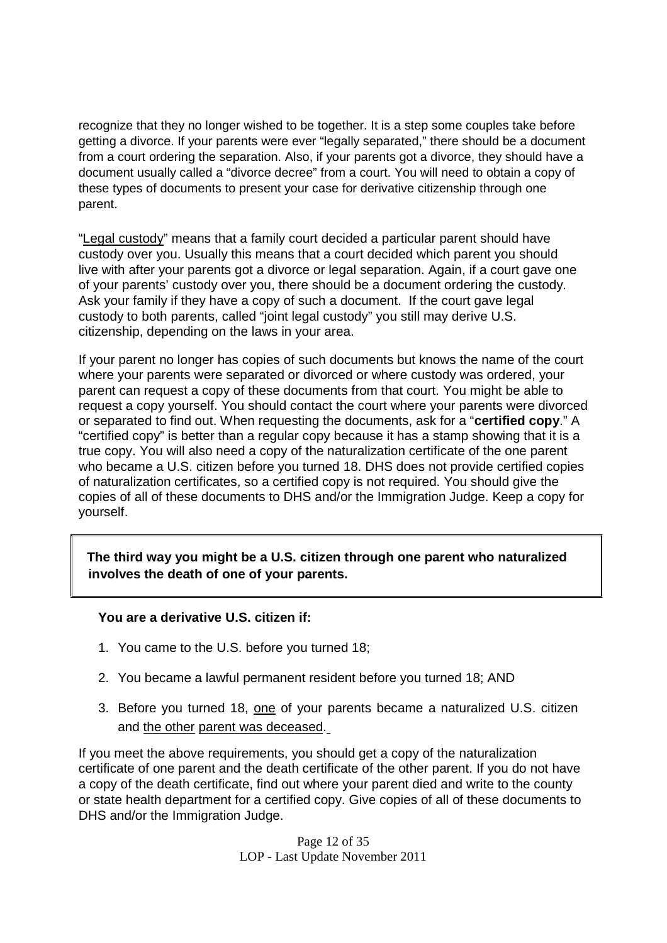recognize that they no longer wished to be together. It is a step some couples take before getting a divorce. If your parents were ever "legally separated," there should be a document from a court ordering the separation. Also, if your parents got a divorce, they should have a document usually called a "divorce decree" from a court. You will need to obtain a copy of these types of documents to present your case for derivative citizenship through one parent.

"Legal custody" means that a family court decided a particular parent should have custody over you. Usually this means that a court decided which parent you should live with after your parents got a divorce or legal separation. Again, if a court gave one of your parents' custody over you, there should be a document ordering the custody. Ask your family if they have a copy of such a document. If the court gave legal custody to both parents, called "joint legal custody" you still may derive U.S. citizenship, depending on the laws in your area.

If your parent no longer has copies of such documents but knows the name of the court where your parents were separated or divorced or where custody was ordered, your parent can request a copy of these documents from that court. You might be able to request a copy yourself. You should contact the court where your parents were divorced or separated to find out. When requesting the documents, ask for a "**certified copy**." A "certified copy" is better than a regular copy because it has a stamp showing that it is a true copy. You will also need a copy of the naturalization certificate of the one parent who became a U.S. citizen before you turned 18. DHS does not provide certified copies of naturalization certificates, so a certified copy is not required. You should give the copies of all of these documents to DHS and/or the Immigration Judge. Keep a copy for yourself.

**The third way you might be a U.S. citizen through one parent who naturalized involves the death of one of your parents.**

### **You are a derivative U.S. citizen if:**

- 1. You came to the U.S. before you turned 18;
- 2. You became a lawful permanent resident before you turned 18; AND
- 3. Before you turned 18, one of your parents became a naturalized U.S. citizen and the other parent was deceased.

If you meet the above requirements, you should get a copy of the naturalization certificate of one parent and the death certificate of the other parent. If you do not have a copy of the death certificate, find out where your parent died and write to the county or state health department for a certified copy. Give copies of all of these documents to DHS and/or the Immigration Judge.

> Page 12 of 35 LOP - Last Update November 2011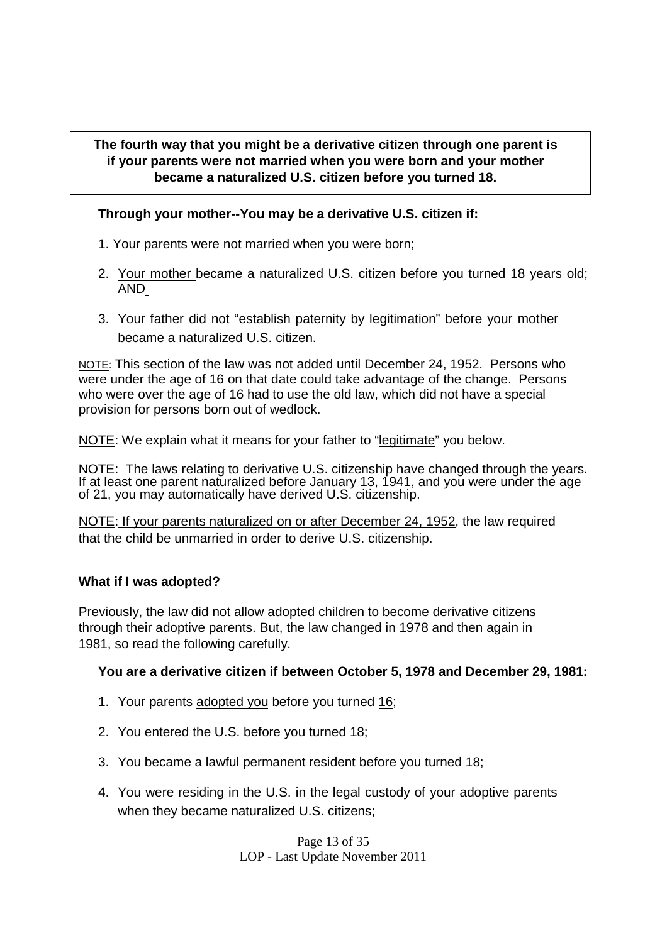### **The fourth way that you might be a derivative citizen through one parent is if your parents were not married when you were born and your mother became a naturalized U.S. citizen before you turned 18.**

### **Through your mother--You may be a derivative U.S. citizen if:**

- 1. Your parents were not married when you were born;
- 2. Your mother became a naturalized U.S. citizen before you turned 18 years old; AND
- 3. Your father did not "establish paternity by legitimation" before your mother became a naturalized U.S. citizen.

NOTE: This section of the law was not added until December 24, 1952. Persons who were under the age of 16 on that date could take advantage of the change. Persons who were over the age of 16 had to use the old law, which did not have a special provision for persons born out of wedlock.

NOTE: We explain what it means for your father to "legitimate" you below.

NOTE: The laws relating to derivative U.S. citizenship have changed through the years. If at least one parent naturalized before January 13, 1941, and you were under the age of 21, you may automatically have derived U.S. citizenship.

NOTE: If your parents naturalized on or after December 24, 1952, the law required that the child be unmarried in order to derive U.S. citizenship.

### **What if I was adopted?**

Previously, the law did not allow adopted children to become derivative citizens through their adoptive parents. But, the law changed in 1978 and then again in 1981, so read the following carefully.

### **You are a derivative citizen if between October 5, 1978 and December 29, 1981:**

- 1. Your parents adopted you before you turned 16;
- 2. You entered the U.S. before you turned 18;
- 3. You became a lawful permanent resident before you turned 18;
- 4. You were residing in the U.S. in the legal custody of your adoptive parents when they became naturalized U.S. citizens;

Page 13 of 35 LOP - Last Update November 2011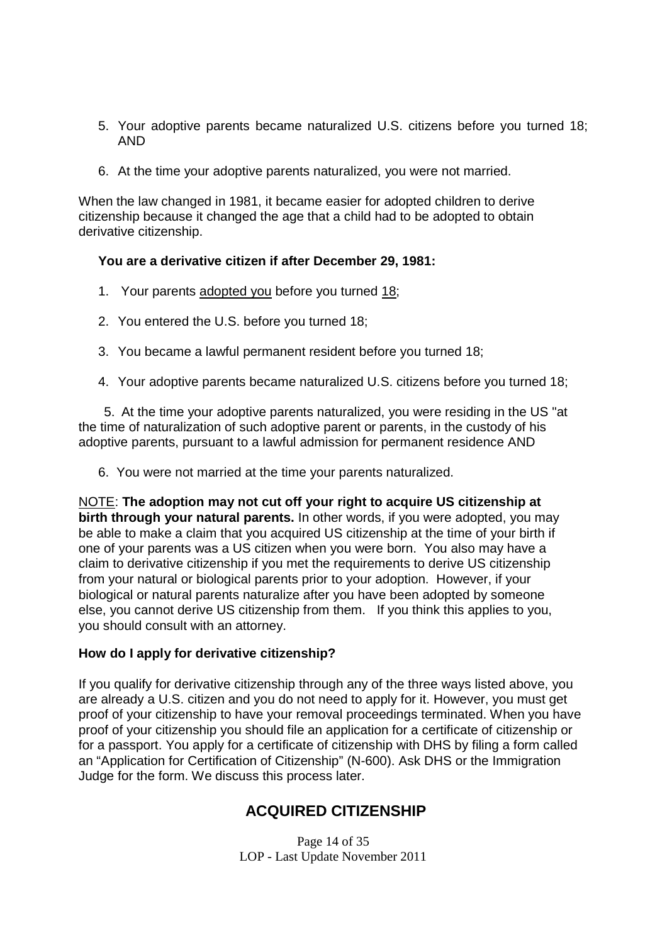- 5. Your adoptive parents became naturalized U.S. citizens before you turned 18; AND
- 6. At the time your adoptive parents naturalized, you were not married.

When the law changed in 1981, it became easier for adopted children to derive citizenship because it changed the age that a child had to be adopted to obtain derivative citizenship.

#### **You are a derivative citizen if after December 29, 1981:**

- 1. Your parents adopted you before you turned 18;
- 2. You entered the U.S. before you turned 18;
- 3. You became a lawful permanent resident before you turned 18;
- 4. Your adoptive parents became naturalized U.S. citizens before you turned 18;

5. At the time your adoptive parents naturalized, you were residing in the US "at the time of naturalization of such adoptive parent or parents, in the custody of his adoptive parents, pursuant to a lawful admission for permanent residence AND

6. You were not married at the time your parents naturalized.

NOTE: **The adoption may not cut off your right to acquire US citizenship at birth through your natural parents.** In other words, if you were adopted, you may be able to make a claim that you acquired US citizenship at the time of your birth if one of your parents was a US citizen when you were born. You also may have a claim to derivative citizenship if you met the requirements to derive US citizenship from your natural or biological parents prior to your adoption. However, if your biological or natural parents naturalize after you have been adopted by someone else, you cannot derive US citizenship from them. If you think this applies to you, you should consult with an attorney.

#### **How do I apply for derivative citizenship?**

If you qualify for derivative citizenship through any of the three ways listed above, you are already a U.S. citizen and you do not need to apply for it. However, you must get proof of your citizenship to have your removal proceedings terminated. When you have proof of your citizenship you should file an application for a certificate of citizenship or for a passport. You apply for a certificate of citizenship with DHS by filing a form called an "Application for Certification of Citizenship" (N-600). Ask DHS or the Immigration Judge for the form. We discuss this process later.

### **ACQUIRED CITIZENSHIP**

Page 14 of 35 LOP - Last Update November 2011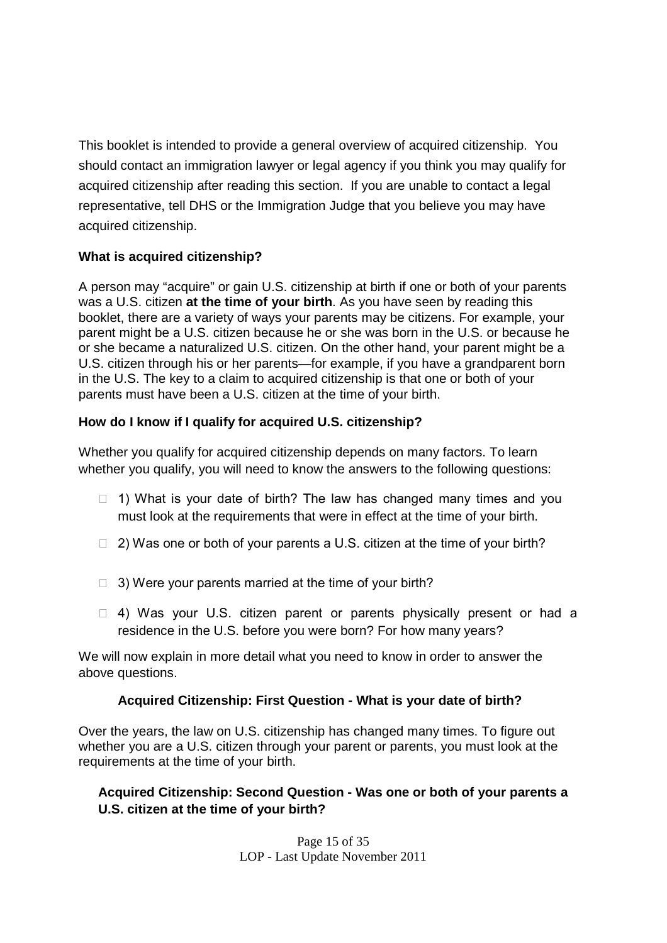This booklet is intended to provide a general overview of acquired citizenship. You should contact an immigration lawyer or legal agency if you think you may qualify for acquired citizenship after reading this section. If you are unable to contact a legal representative, tell DHS or the Immigration Judge that you believe you may have acquired citizenship.

### **What is acquired citizenship?**

A person may "acquire" or gain U.S. citizenship at birth if one or both of your parents was a U.S. citizen **at the time of your birth**. As you have seen by reading this booklet, there are a variety of ways your parents may be citizens. For example, your parent might be a U.S. citizen because he or she was born in the U.S. or because he or she became a naturalized U.S. citizen. On the other hand, your parent might be a U.S. citizen through his or her parents—for example, if you have a grandparent born in the U.S. The key to a claim to acquired citizenship is that one or both of your parents must have been a U.S. citizen at the time of your birth.

### **How do I know if I qualify for acquired U.S. citizenship?**

Whether you qualify for acquired citizenship depends on many factors. To learn whether you qualify, you will need to know the answers to the following questions:

- $\Box$  1) What is your date of birth? The law has changed many times and you must look at the requirements that were in effect at the time of your birth.
- $\Box$  2) Was one or both of your parents a U.S. citizen at the time of your birth?
- $\Box$  3) Were your parents married at the time of your birth?
- $\Box$  4) Was your U.S. citizen parent or parents physically present or had a residence in the U.S. before you were born? For how many years?

We will now explain in more detail what you need to know in order to answer the above questions.

### **Acquired Citizenship: First Question - What is your date of birth?**

Over the years, the law on U.S. citizenship has changed many times. To figure out whether you are a U.S. citizen through your parent or parents, you must look at the requirements at the time of your birth.

### **Acquired Citizenship: Second Question - Was one or both of your parents a U.S. citizen at the time of your birth?**

Page 15 of 35 LOP - Last Update November 2011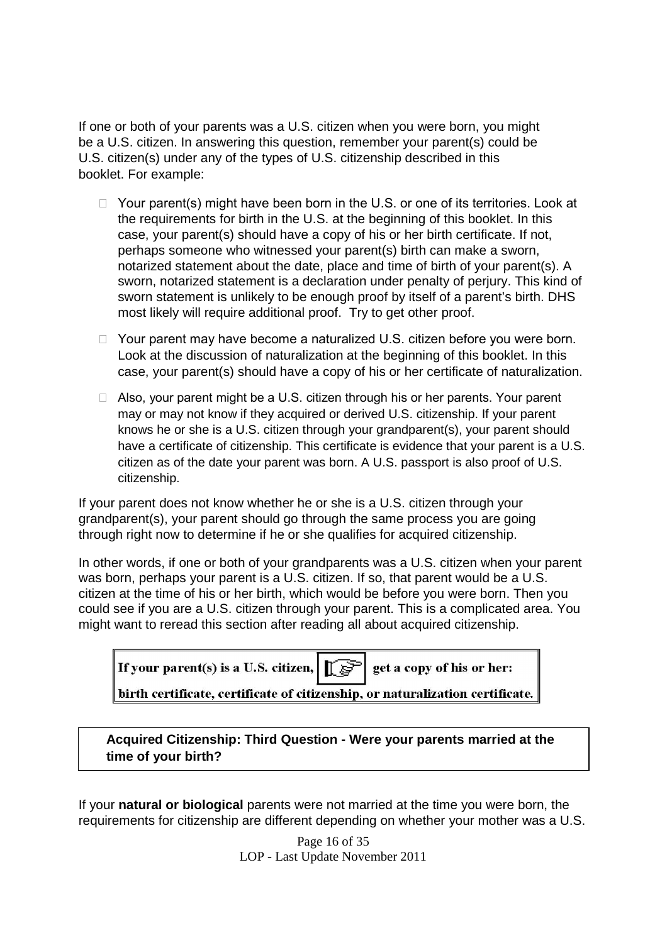If one or both of your parents was a U.S. citizen when you were born, you might be a U.S. citizen. In answering this question, remember your parent(s) could be U.S. citizen(s) under any of the types of U.S. citizenship described in this booklet. For example:

- $\Box$  Your parent(s) might have been born in the U.S. or one of its territories. Look at the requirements for birth in the U.S. at the beginning of this booklet. In this case, your parent(s) should have a copy of his or her birth certificate. If not, perhaps someone who witnessed your parent(s) birth can make a sworn, notarized statement about the date, place and time of birth of your parent(s). A sworn, notarized statement is a declaration under penalty of perjury. This kind of sworn statement is unlikely to be enough proof by itself of a parent's birth. DHS most likely will require additional proof. Try to get other proof.
- $\Box$  Your parent may have become a naturalized U.S. citizen before you were born. Look at the discussion of naturalization at the beginning of this booklet. In this case, your parent(s) should have a copy of his or her certificate of naturalization.
- □ Also, your parent might be a U.S. citizen through his or her parents. Your parent may or may not know if they acquired or derived U.S. citizenship. If your parent knows he or she is a U.S. citizen through your grandparent(s), your parent should have a certificate of citizenship. This certificate is evidence that your parent is a U.S. citizen as of the date your parent was born. A U.S. passport is also proof of U.S. citizenship.

If your parent does not know whether he or she is a U.S. citizen through your grandparent(s), your parent should go through the same process you are going through right now to determine if he or she qualifies for acquired citizenship.

In other words, if one or both of your grandparents was a U.S. citizen when your parent was born, perhaps your parent is a U.S. citizen. If so, that parent would be a U.S. citizen at the time of his or her birth, which would be before you were born. Then you could see if you are a U.S. citizen through your parent. This is a complicated area. You might want to reread this section after reading all about acquired citizenship.

| If your parent(s) is a U.S. citizen, $\left \int \vec{s} \right $ get a copy of his or her: |  |  |  |  |
|---------------------------------------------------------------------------------------------|--|--|--|--|
| $\ $ birth certificate, certificate of citizenship, or naturalization certificate. $\ $     |  |  |  |  |

**Acquired Citizenship: Third Question - Were your parents married at the time of your birth?**

If your **natural or biological** parents were not married at the time you were born, the requirements for citizenship are different depending on whether your mother was a U.S.

> Page 16 of 35 LOP - Last Update November 2011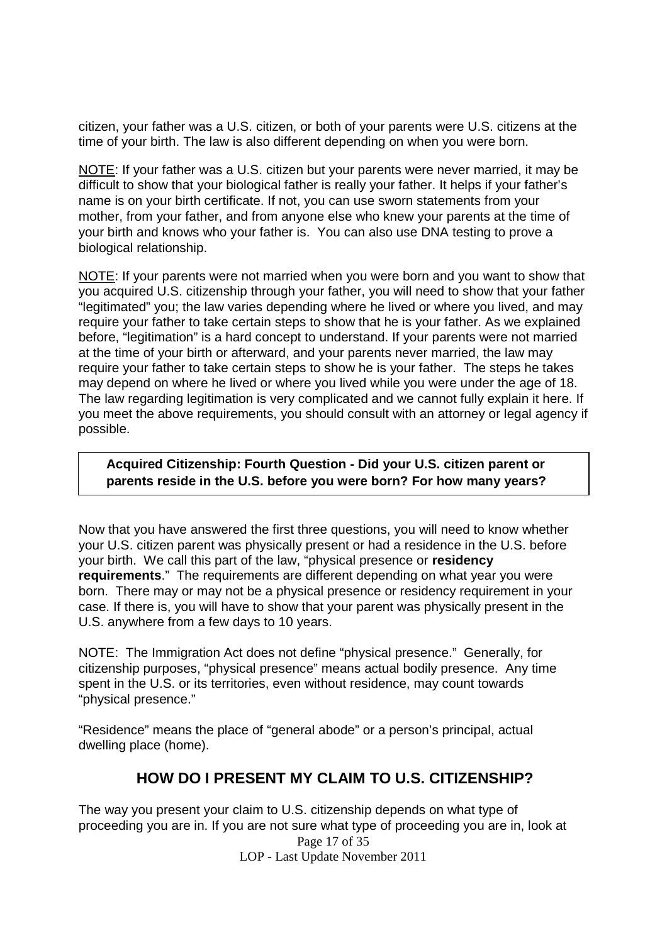citizen, your father was a U.S. citizen, or both of your parents were U.S. citizens at the time of your birth. The law is also different depending on when you were born.

NOTE: If your father was a U.S. citizen but your parents were never married, it may be difficult to show that your biological father is really your father. It helps if your father's name is on your birth certificate. If not, you can use sworn statements from your mother, from your father, and from anyone else who knew your parents at the time of your birth and knows who your father is. You can also use DNA testing to prove a biological relationship.

NOTE: If your parents were not married when you were born and you want to show that you acquired U.S. citizenship through your father, you will need to show that your father "legitimated" you; the law varies depending where he lived or where you lived, and may require your father to take certain steps to show that he is your father. As we explained before, "legitimation" is a hard concept to understand. If your parents were not married at the time of your birth or afterward, and your parents never married, the law may require your father to take certain steps to show he is your father. The steps he takes may depend on where he lived or where you lived while you were under the age of 18. The law regarding legitimation is very complicated and we cannot fully explain it here. If you meet the above requirements, you should consult with an attorney or legal agency if possible.

### **Acquired Citizenship: Fourth Question - Did your U.S. citizen parent or parents reside in the U.S. before you were born? For how many years?**

Now that you have answered the first three questions, you will need to know whether your U.S. citizen parent was physically present or had a residence in the U.S. before your birth. We call this part of the law, "physical presence or **residency requirements**." The requirements are different depending on what year you were born. There may or may not be a physical presence or residency requirement in your case. If there is, you will have to show that your parent was physically present in the U.S. anywhere from a few days to 10 years.

NOTE: The Immigration Act does not define "physical presence." Generally, for citizenship purposes, "physical presence" means actual bodily presence. Any time spent in the U.S. or its territories, even without residence, may count towards "physical presence."

"Residence" means the place of "general abode" or a person's principal, actual dwelling place (home).

### **HOW DO I PRESENT MY CLAIM TO U.S. CITIZENSHIP?**

Page 17 of 35 LOP - Last Update November 2011 The way you present your claim to U.S. citizenship depends on what type of proceeding you are in. If you are not sure what type of proceeding you are in, look at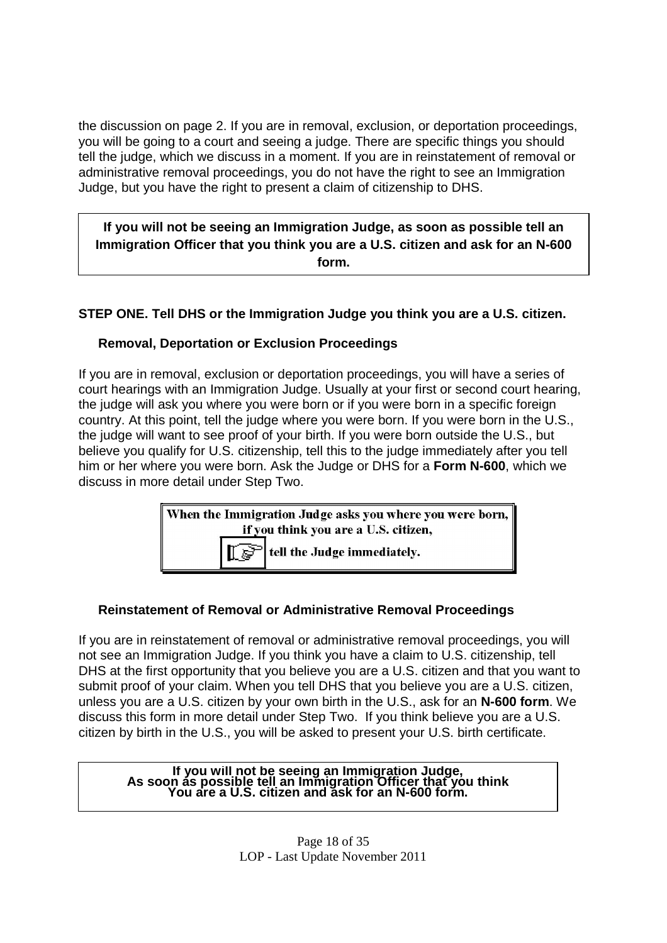the discussion on page 2. If you are in removal, exclusion, or deportation proceedings, you will be going to a court and seeing a judge. There are specific things you should tell the judge, which we discuss in a moment. If you are in reinstatement of removal or administrative removal proceedings, you do not have the right to see an Immigration Judge, but you have the right to present a claim of citizenship to DHS.

**If you will not be seeing an Immigration Judge, as soon as possible tell an Immigration Officer that you think you are a U.S. citizen and ask for an N-600 form.**

### **STEP ONE. Tell DHS or the Immigration Judge you think you are a U.S. citizen.**

### **Removal, Deportation or Exclusion Proceedings**

If you are in removal, exclusion or deportation proceedings, you will have a series of court hearings with an Immigration Judge. Usually at your first or second court hearing, the judge will ask you where you were born or if you were born in a specific foreign country. At this point, tell the judge where you were born. If you were born in the U.S., the judge will want to see proof of your birth. If you were born outside the U.S., but believe you qualify for U.S. citizenship, tell this to the judge immediately after you tell him or her where you were born. Ask the Judge or DHS for a **Form N-600**, which we discuss in more detail under Step Two.

| When the Immigration Judge asks you where you were born,    |  |  |  |
|-------------------------------------------------------------|--|--|--|
| if you think you are a U.S. citizen,                        |  |  |  |
| $\left \int \mathbf{F} \right $ tell the Judge immediately. |  |  |  |

### **Reinstatement of Removal or Administrative Removal Proceedings**

If you are in reinstatement of removal or administrative removal proceedings, you will not see an Immigration Judge. If you think you have a claim to U.S. citizenship, tell DHS at the first opportunity that you believe you are a U.S. citizen and that you want to submit proof of your claim. When you tell DHS that you believe you are a U.S. citizen, unless you are a U.S. citizen by your own birth in the U.S., ask for an **N-600 form**. We discuss this form in more detail under Step Two. If you think believe you are a U.S. citizen by birth in the U.S., you will be asked to present your U.S. birth certificate.

#### **If you will not be seeing an Immigration Judge, As soon as possible tell an Immigration Officer that you think You are a U.S. citizen and ask for an N-600 form.**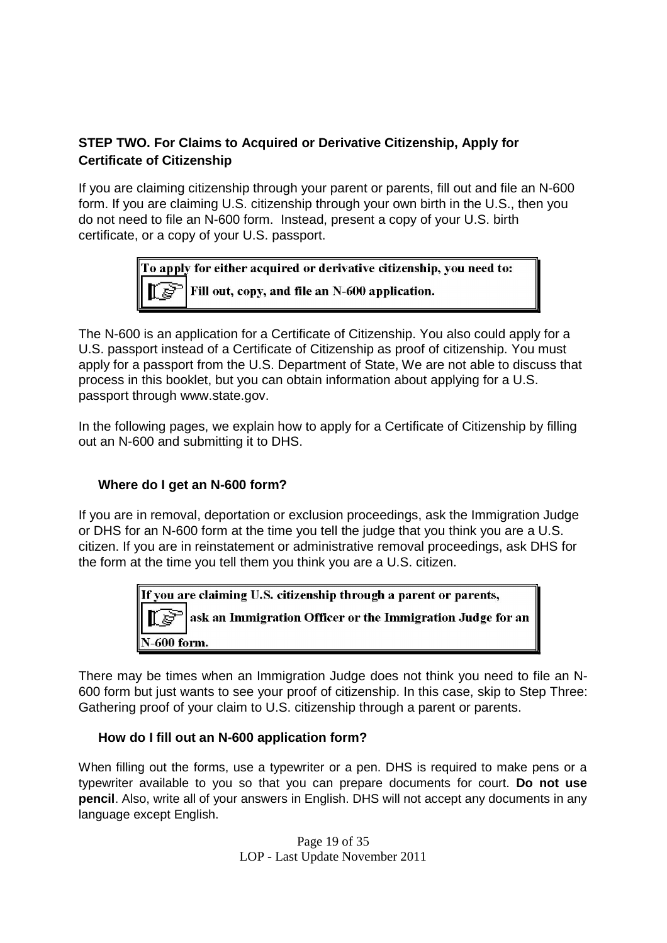### **STEP TWO. For Claims to Acquired or Derivative Citizenship, Apply for Certificate of Citizenship**

If you are claiming citizenship through your parent or parents, fill out and file an N-600 form. If you are claiming U.S. citizenship through your own birth in the U.S., then you do not need to file an N-600 form. Instead, present a copy of your U.S. birth certificate, or a copy of your U.S. passport.



The N-600 is an application for a Certificate of Citizenship. You also could apply for a U.S. passport instead of a Certificate of Citizenship as proof of citizenship. You must apply for a passport from the U.S. Department of State, We are not able to discuss that process in this booklet, but you can obtain information about applying for a U.S. passport through www.state.gov.

In the following pages, we explain how to apply for a Certificate of Citizenship by filling out an N-600 and submitting it to DHS.

### **Where do I get an N-600 form?**

If you are in removal, deportation or exclusion proceedings, ask the Immigration Judge or DHS for an N-600 form at the time you tell the judge that you think you are a U.S. citizen. If you are in reinstatement or administrative removal proceedings, ask DHS for the form at the time you tell them you think you are a U.S. citizen.

> If you are claiming U.S. citizenship through a parent or parents, ask an Immigration Officer or the Immigration Judge for an -600 form.

There may be times when an Immigration Judge does not think you need to file an N-600 form but just wants to see your proof of citizenship. In this case, skip to Step Three: Gathering proof of your claim to U.S. citizenship through a parent or parents.

### **How do I fill out an N-600 application form?**

When filling out the forms, use a typewriter or a pen. DHS is required to make pens or a typewriter available to you so that you can prepare documents for court. **Do not use pencil**. Also, write all of your answers in English. DHS will not accept any documents in any language except English.

> Page 19 of 35 LOP - Last Update November 2011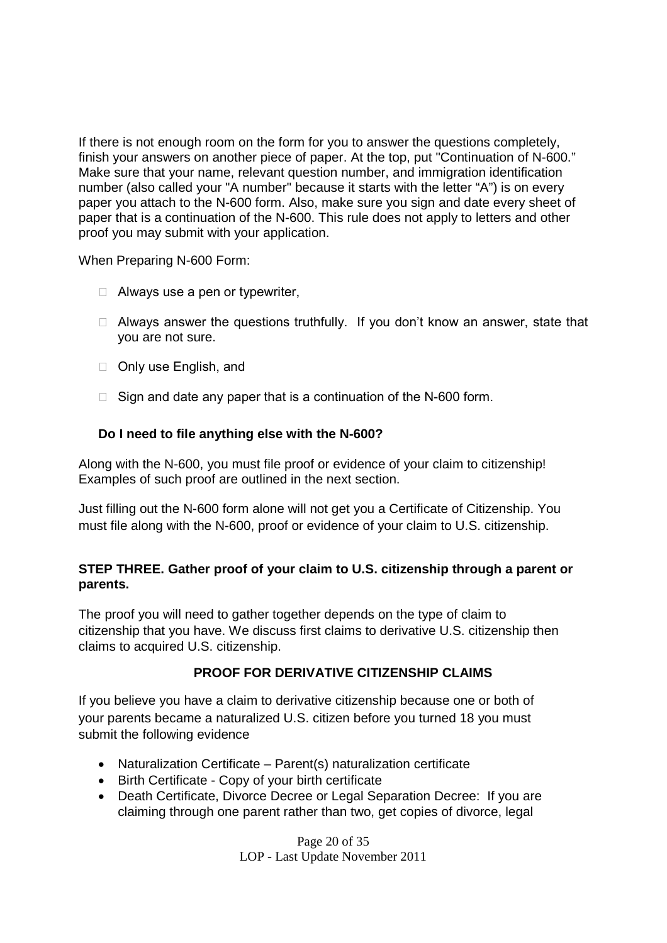If there is not enough room on the form for you to answer the questions completely, finish your answers on another piece of paper. At the top, put "Continuation of N-600." Make sure that your name, relevant question number, and immigration identification number (also called your "A number" because it starts with the letter "A") is on every paper you attach to the N-600 form. Also, make sure you sign and date every sheet of paper that is a continuation of the N-600. This rule does not apply to letters and other proof you may submit with your application.

When Preparing N-600 Form:

- $\Box$  Always use a pen or typewriter,
- $\Box$  Always answer the questions truthfully. If you don't know an answer, state that you are not sure.
- □ Only use English, and
- $\Box$  Sign and date any paper that is a continuation of the N-600 form.

### **Do I need to file anything else with the N-600?**

Along with the N-600, you must file proof or evidence of your claim to citizenship! Examples of such proof are outlined in the next section.

Just filling out the N-600 form alone will not get you a Certificate of Citizenship. You must file along with the N-600, proof or evidence of your claim to U.S. citizenship.

### **STEP THREE. Gather proof of your claim to U.S. citizenship through a parent or parents.**

The proof you will need to gather together depends on the type of claim to citizenship that you have. We discuss first claims to derivative U.S. citizenship then claims to acquired U.S. citizenship.

### **PROOF FOR DERIVATIVE CITIZENSHIP CLAIMS**

If you believe you have a claim to derivative citizenship because one or both of your parents became a naturalized U.S. citizen before you turned 18 you must submit the following evidence

- Naturalization Certificate Parent(s) naturalization certificate
- Birth Certificate Copy of your birth certificate
- Death Certificate, Divorce Decree or Legal Separation Decree: If you are claiming through one parent rather than two, get copies of divorce, legal

Page 20 of 35 LOP - Last Update November 2011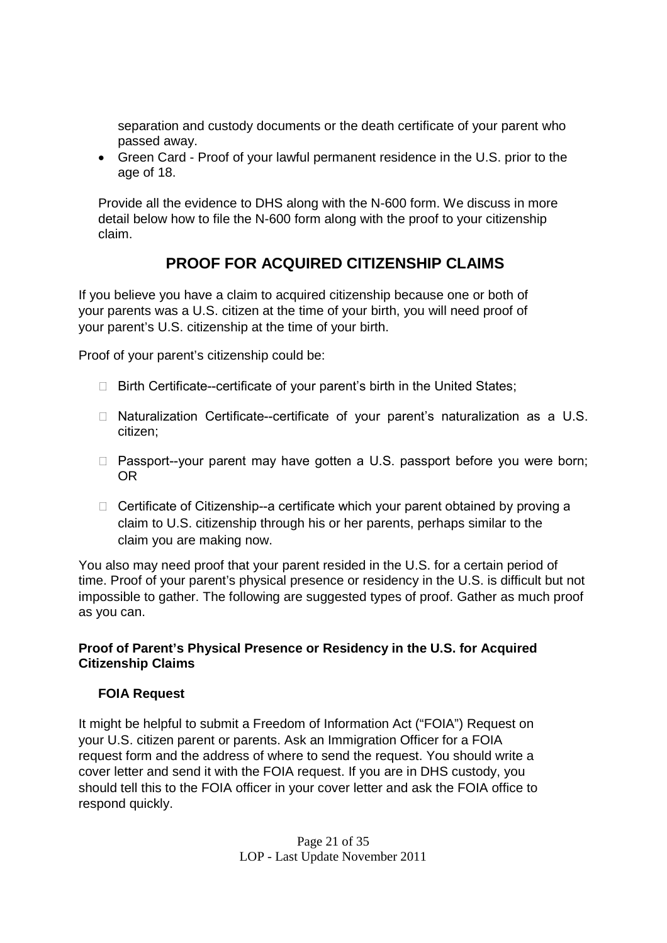separation and custody documents or the death certificate of your parent who passed away.

 Green Card - Proof of your lawful permanent residence in the U.S. prior to the age of 18.

Provide all the evidence to DHS along with the N-600 form. We discuss in more detail below how to file the N-600 form along with the proof to your citizenship claim.

# **PROOF FOR ACQUIRED CITIZENSHIP CLAIMS**

If you believe you have a claim to acquired citizenship because one or both of your parents was a U.S. citizen at the time of your birth, you will need proof of your parent's U.S. citizenship at the time of your birth.

Proof of your parent's citizenship could be:

- $\Box$  Birth Certificate--certificate of your parent's birth in the United States;
- $\Box$  Naturalization Certificate--certificate of your parent's naturalization as a U.S. citizen;
- $\Box$  Passport--your parent may have gotten a U.S. passport before you were born; OR
- $\Box$  Certificate of Citizenship--a certificate which your parent obtained by proving a claim to U.S. citizenship through his or her parents, perhaps similar to the claim you are making now.

You also may need proof that your parent resided in the U.S. for a certain period of time. Proof of your parent's physical presence or residency in the U.S. is difficult but not impossible to gather. The following are suggested types of proof. Gather as much proof as you can.

### **Proof of Parent's Physical Presence or Residency in the U.S. for Acquired Citizenship Claims**

### **FOIA Request**

It might be helpful to submit a Freedom of Information Act ("FOIA") Request on your U.S. citizen parent or parents. Ask an Immigration Officer for a FOIA request form and the address of where to send the request. You should write a cover letter and send it with the FOIA request. If you are in DHS custody, you should tell this to the FOIA officer in your cover letter and ask the FOIA office to respond quickly.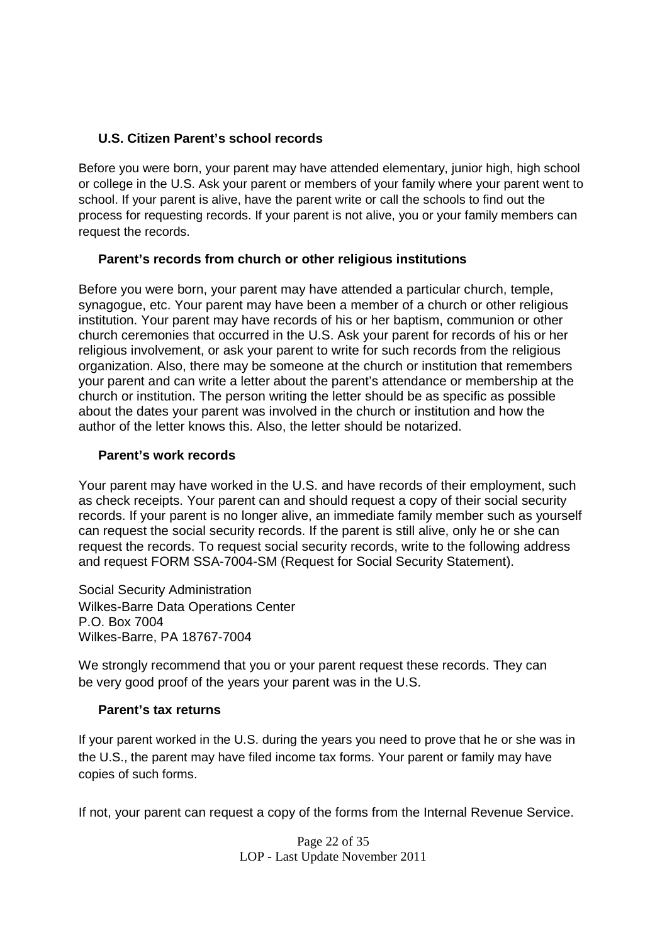### **U.S. Citizen Parent's school records**

Before you were born, your parent may have attended elementary, junior high, high school or college in the U.S. Ask your parent or members of your family where your parent went to school. If your parent is alive, have the parent write or call the schools to find out the process for requesting records. If your parent is not alive, you or your family members can request the records.

### **Parent's records from church or other religious institutions**

Before you were born, your parent may have attended a particular church, temple, synagogue, etc. Your parent may have been a member of a church or other religious institution. Your parent may have records of his or her baptism, communion or other church ceremonies that occurred in the U.S. Ask your parent for records of his or her religious involvement, or ask your parent to write for such records from the religious organization. Also, there may be someone at the church or institution that remembers your parent and can write a letter about the parent's attendance or membership at the church or institution. The person writing the letter should be as specific as possible about the dates your parent was involved in the church or institution and how the author of the letter knows this. Also, the letter should be notarized.

### **Parent's work records**

Your parent may have worked in the U.S. and have records of their employment, such as check receipts. Your parent can and should request a copy of their social security records. If your parent is no longer alive, an immediate family member such as yourself can request the social security records. If the parent is still alive, only he or she can request the records. To request social security records, write to the following address and request FORM SSA-7004-SM (Request for Social Security Statement).

Social Security Administration Wilkes-Barre Data Operations Center P.O. Box 7004 Wilkes-Barre, PA 18767-7004

We strongly recommend that you or your parent request these records. They can be very good proof of the years your parent was in the U.S.

### **Parent's tax returns**

If your parent worked in the U.S. during the years you need to prove that he or she was in the U.S., the parent may have filed income tax forms. Your parent or family may have copies of such forms.

If not, your parent can request a copy of the forms from the Internal Revenue Service.

Page 22 of 35 LOP - Last Update November 2011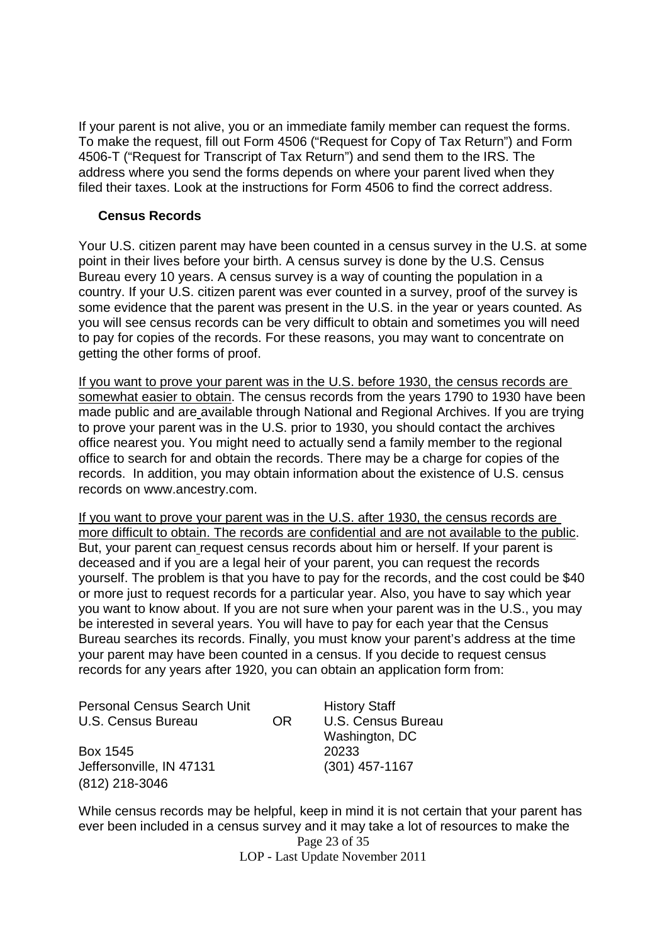If your parent is not alive, you or an immediate family member can request the forms. To make the request, fill out Form 4506 ("Request for Copy of Tax Return") and Form 4506-T ("Request for Transcript of Tax Return") and send them to the IRS. The address where you send the forms depends on where your parent lived when they filed their taxes. Look at the instructions for Form 4506 to find the correct address.

### **Census Records**

Your U.S. citizen parent may have been counted in a census survey in the U.S. at some point in their lives before your birth. A census survey is done by the U.S. Census Bureau every 10 years. A census survey is a way of counting the population in a country. If your U.S. citizen parent was ever counted in a survey, proof of the survey is some evidence that the parent was present in the U.S. in the year or years counted. As you will see census records can be very difficult to obtain and sometimes you will need to pay for copies of the records. For these reasons, you may want to concentrate on getting the other forms of proof.

If you want to prove your parent was in the U.S. before 1930, the census records are somewhat easier to obtain. The census records from the years 1790 to 1930 have been made public and are available through National and Regional Archives. If you are trying to prove your parent was in the U.S. prior to 1930, you should contact the archives office nearest you. You might need to actually send a family member to the regional office to search for and obtain the records. There may be a charge for copies of the records. In addition, you may obtain information about the existence of U.S. census records on www.ancestry.com.

If you want to prove your parent was in the U.S. after 1930, the census records are more difficult to obtain. The records are confidential and are not available to the public. But, your parent can request census records about him or herself. If your parent is deceased and if you are a legal heir of your parent, you can request the records yourself. The problem is that you have to pay for the records, and the cost could be \$40 or more just to request records for a particular year. Also, you have to say which year you want to know about. If you are not sure when your parent was in the U.S., you may be interested in several years. You will have to pay for each year that the Census Bureau searches its records. Finally, you must know your parent's address at the time your parent may have been counted in a census. If you decide to request census records for any years after 1920, you can obtain an application form from:

| <b>Personal Census Search Unit</b> |     | <b>History Staff</b>      |
|------------------------------------|-----|---------------------------|
| U.S. Census Bureau                 | OR. | <b>U.S. Census Bureau</b> |
|                                    |     | Washington, DC            |
| Box 1545                           |     | 20233                     |
| Jeffersonville, IN 47131           |     | $(301)$ 457-1167          |
| (812) 218-3046                     |     |                           |

Page 23 of 35 LOP - Last Update November 2011 While census records may be helpful, keep in mind it is not certain that your parent has ever been included in a census survey and it may take a lot of resources to make the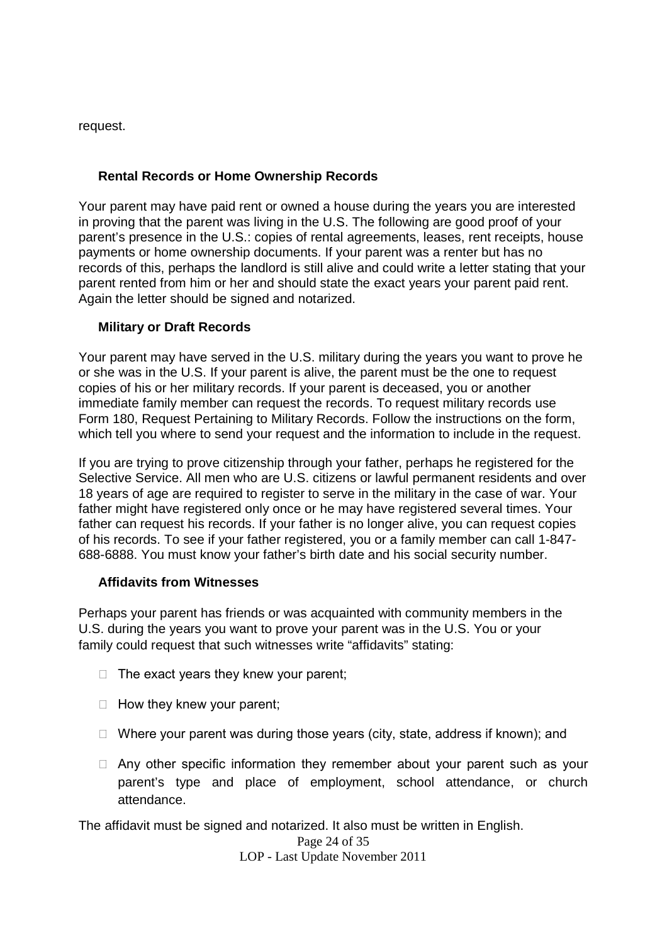request.

### **Rental Records or Home Ownership Records**

Your parent may have paid rent or owned a house during the years you are interested in proving that the parent was living in the U.S. The following are good proof of your parent's presence in the U.S.: copies of rental agreements, leases, rent receipts, house payments or home ownership documents. If your parent was a renter but has no records of this, perhaps the landlord is still alive and could write a letter stating that your parent rented from him or her and should state the exact years your parent paid rent. Again the letter should be signed and notarized.

### **Military or Draft Records**

Your parent may have served in the U.S. military during the years you want to prove he or she was in the U.S. If your parent is alive, the parent must be the one to request copies of his or her military records. If your parent is deceased, you or another immediate family member can request the records. To request military records use Form 180, Request Pertaining to Military Records. Follow the instructions on the form, which tell you where to send your request and the information to include in the request.

If you are trying to prove citizenship through your father, perhaps he registered for the Selective Service. All men who are U.S. citizens or lawful permanent residents and over 18 years of age are required to register to serve in the military in the case of war. Your father might have registered only once or he may have registered several times. Your father can request his records. If your father is no longer alive, you can request copies of his records. To see if your father registered, you or a family member can call 1-847- 688-6888. You must know your father's birth date and his social security number.

### **Affidavits from Witnesses**

Perhaps your parent has friends or was acquainted with community members in the U.S. during the years you want to prove your parent was in the U.S. You or your family could request that such witnesses write "affidavits" stating:

- $\Box$  The exact years they knew your parent;
- $\Box$  How they knew your parent;
- $\Box$  Where your parent was during those years (city, state, address if known); and
- $\Box$  Any other specific information they remember about your parent such as your parent's type and place of employment, school attendance, or church attendance.

The affidavit must be signed and notarized. It also must be written in English.

Page 24 of 35

LOP - Last Update November 2011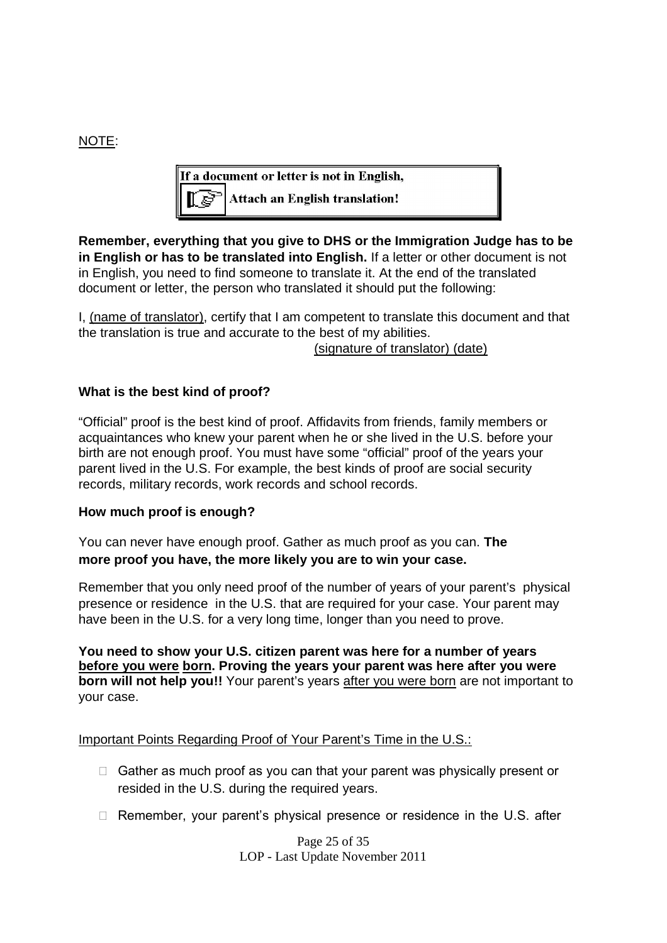### NOTE:

If a document or letter is not in English, **Attach an English translation!** 

**Remember, everything that you give to DHS or the Immigration Judge has to be in English or has to be translated into English.** If a letter or other document is not in English, you need to find someone to translate it. At the end of the translated document or letter, the person who translated it should put the following:

I, (name of translator), certify that I am competent to translate this document and that the translation is true and accurate to the best of my abilities.

(signature of translator) (date)

### **What is the best kind of proof?**

"Official" proof is the best kind of proof. Affidavits from friends, family members or acquaintances who knew your parent when he or she lived in the U.S. before your birth are not enough proof. You must have some "official" proof of the years your parent lived in the U.S. For example, the best kinds of proof are social security records, military records, work records and school records.

### **How much proof is enough?**

You can never have enough proof. Gather as much proof as you can. **The more proof you have, the more likely you are to win your case.**

Remember that you only need proof of the number of years of your parent's physical presence or residence in the U.S. that are required for your case. Your parent may have been in the U.S. for a very long time, longer than you need to prove.

**You need to show your U.S. citizen parent was here for a number of years before you were born. Proving the years your parent was here after you were born will not help you!!** Your parent's years after you were born are not important to your case.

Important Points Regarding Proof of Your Parent's Time in the U.S.:

- $\Box$  Gather as much proof as you can that your parent was physically present or resided in the U.S. during the required years.
- $\Box$  Remember, your parent's physical presence or residence in the U.S. after

Page 25 of 35 LOP - Last Update November 2011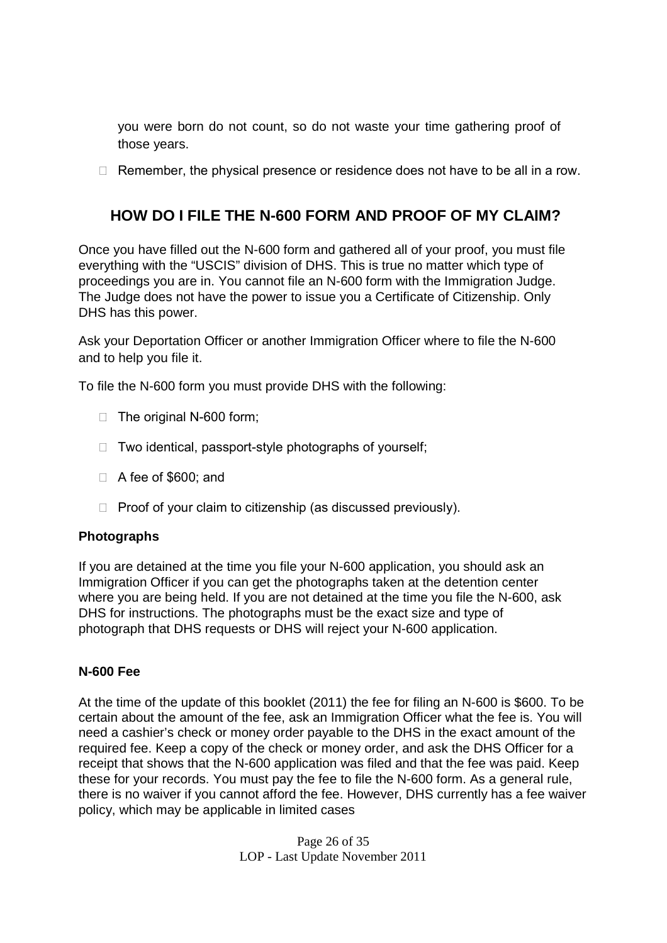you were born do not count, so do not waste your time gathering proof of those years.

 $\Box$  Remember, the physical presence or residence does not have to be all in a row.

# **HOW DO I FILE THE N-600 FORM AND PROOF OF MY CLAIM?**

Once you have filled out the N-600 form and gathered all of your proof, you must file everything with the "USCIS" division of DHS. This is true no matter which type of proceedings you are in. You cannot file an N-600 form with the Immigration Judge. The Judge does not have the power to issue you a Certificate of Citizenship. Only DHS has this power.

Ask your Deportation Officer or another Immigration Officer where to file the N-600 and to help you file it.

To file the N-600 form you must provide DHS with the following:

- $\Box$  The original N-600 form;
- $\Box$  Two identical, passport-style photographs of yourself;
- □ A fee of \$600; and
- $\Box$  Proof of your claim to citizenship (as discussed previously).

### **Photographs**

If you are detained at the time you file your N-600 application, you should ask an Immigration Officer if you can get the photographs taken at the detention center where you are being held. If you are not detained at the time you file the N-600, ask DHS for instructions. The photographs must be the exact size and type of photograph that DHS requests or DHS will reject your N-600 application.

### **N-600 Fee**

At the time of the update of this booklet (2011) the fee for filing an N-600 is \$600. To be certain about the amount of the fee, ask an Immigration Officer what the fee is. You will need a cashier's check or money order payable to the DHS in the exact amount of the required fee. Keep a copy of the check or money order, and ask the DHS Officer for a receipt that shows that the N-600 application was filed and that the fee was paid. Keep these for your records. You must pay the fee to file the N-600 form. As a general rule, there is no waiver if you cannot afford the fee. However, DHS currently has a fee waiver policy, which may be applicable in limited cases

> Page 26 of 35 LOP - Last Update November 2011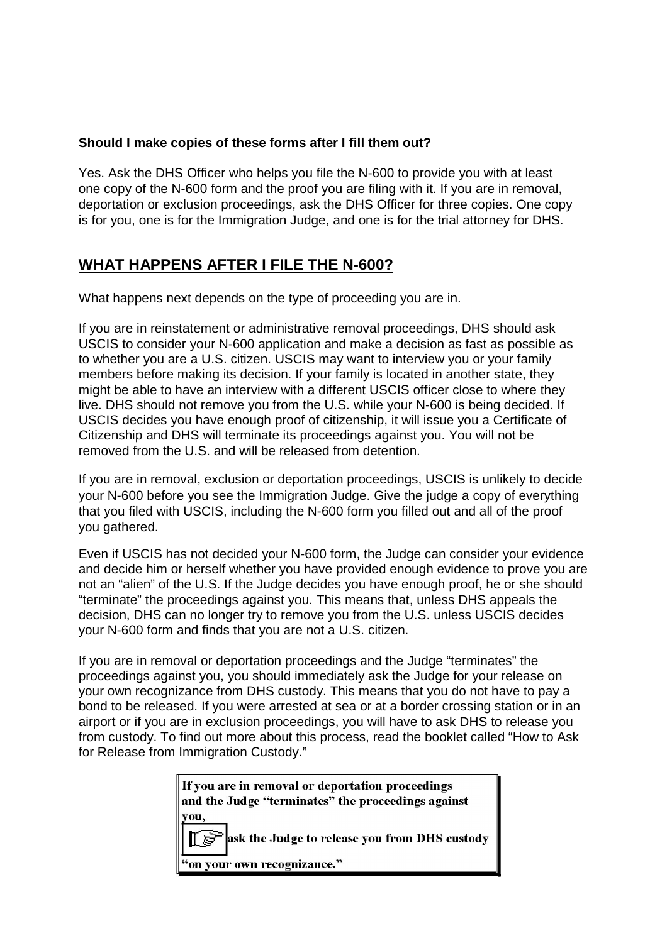### **Should I make copies of these forms after I fill them out?**

Yes. Ask the DHS Officer who helps you file the N-600 to provide you with at least one copy of the N-600 form and the proof you are filing with it. If you are in removal, deportation or exclusion proceedings, ask the DHS Officer for three copies. One copy is for you, one is for the Immigration Judge, and one is for the trial attorney for DHS.

# **WHAT HAPPENS AFTER I FILE THE N-600?**

What happens next depends on the type of proceeding you are in.

If you are in reinstatement or administrative removal proceedings, DHS should ask USCIS to consider your N-600 application and make a decision as fast as possible as to whether you are a U.S. citizen. USCIS may want to interview you or your family members before making its decision. If your family is located in another state, they might be able to have an interview with a different USCIS officer close to where they live. DHS should not remove you from the U.S. while your N-600 is being decided. If USCIS decides you have enough proof of citizenship, it will issue you a Certificate of Citizenship and DHS will terminate its proceedings against you. You will not be removed from the U.S. and will be released from detention.

If you are in removal, exclusion or deportation proceedings, USCIS is unlikely to decide your N-600 before you see the Immigration Judge. Give the judge a copy of everything that you filed with USCIS, including the N-600 form you filled out and all of the proof you gathered.

Even if USCIS has not decided your N-600 form, the Judge can consider your evidence and decide him or herself whether you have provided enough evidence to prove you are not an "alien" of the U.S. If the Judge decides you have enough proof, he or she should "terminate" the proceedings against you. This means that, unless DHS appeals the decision, DHS can no longer try to remove you from the U.S. unless USCIS decides your N-600 form and finds that you are not a U.S. citizen.

If you are in removal or deportation proceedings and the Judge "terminates" the proceedings against you, you should immediately ask the Judge for your release on your own recognizance from DHS custody. This means that you do not have to pay a bond to be released. If you were arrested at sea or at a border crossing station or in an airport or if you are in exclusion proceedings, you will have to ask DHS to release you from custody. To find out more about this process, read the booklet called "How to Ask for Release from Immigration Custody."

> If you are in removal or deportation proceedings and the Judge "terminates" the proceedings against vou. ask the Judge to release you from DHS custody

"on your own recognizance."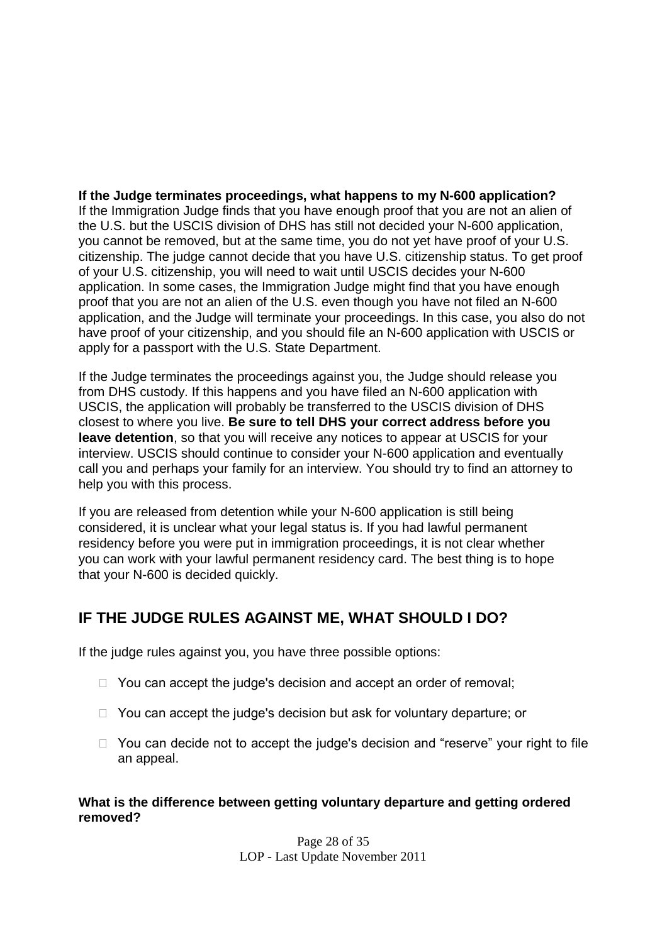**If the Judge terminates proceedings, what happens to my N-600 application?** If the Immigration Judge finds that you have enough proof that you are not an alien of the U.S. but the USCIS division of DHS has still not decided your N-600 application, you cannot be removed, but at the same time, you do not yet have proof of your U.S. citizenship. The judge cannot decide that you have U.S. citizenship status. To get proof of your U.S. citizenship, you will need to wait until USCIS decides your N-600 application. In some cases, the Immigration Judge might find that you have enough proof that you are not an alien of the U.S. even though you have not filed an N-600 application, and the Judge will terminate your proceedings. In this case, you also do not have proof of your citizenship, and you should file an N-600 application with USCIS or apply for a passport with the U.S. State Department.

If the Judge terminates the proceedings against you, the Judge should release you from DHS custody. If this happens and you have filed an N-600 application with USCIS, the application will probably be transferred to the USCIS division of DHS closest to where you live. **Be sure to tell DHS your correct address before you leave detention**, so that you will receive any notices to appear at USCIS for your interview. USCIS should continue to consider your N-600 application and eventually call you and perhaps your family for an interview. You should try to find an attorney to help you with this process.

If you are released from detention while your N-600 application is still being considered, it is unclear what your legal status is. If you had lawful permanent residency before you were put in immigration proceedings, it is not clear whether you can work with your lawful permanent residency card. The best thing is to hope that your N-600 is decided quickly.

# **IF THE JUDGE RULES AGAINST ME, WHAT SHOULD I DO?**

If the judge rules against you, you have three possible options:

- $\Box$  You can accept the judge's decision and accept an order of removal;
- $\Box$  You can accept the judge's decision but ask for voluntary departure; or
- $\Box$  You can decide not to accept the judge's decision and "reserve" your right to file an appeal.

**What is the difference between getting voluntary departure and getting ordered removed?**

> Page 28 of 35 LOP - Last Update November 2011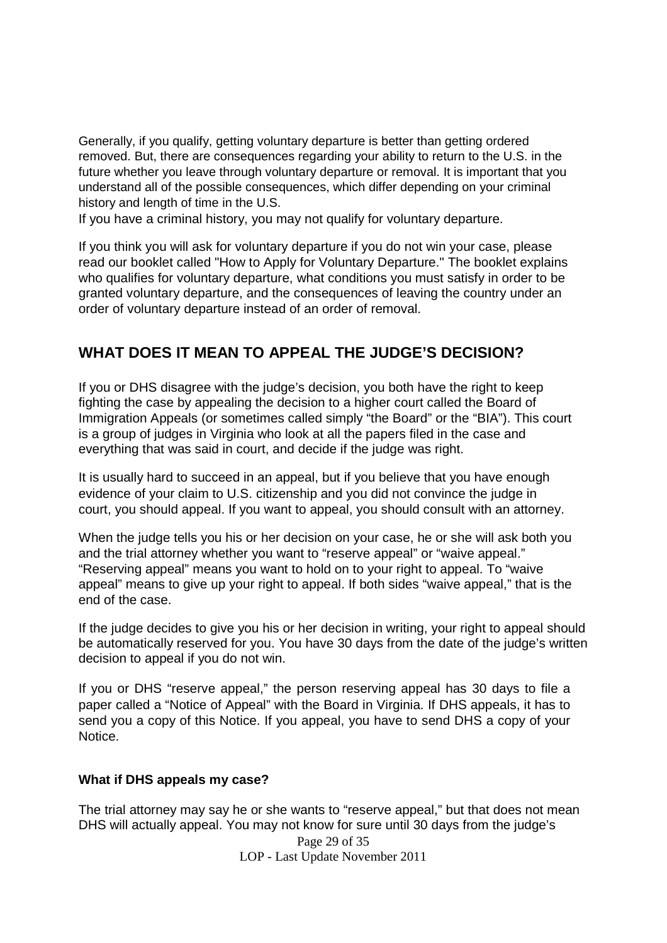Generally, if you qualify, getting voluntary departure is better than getting ordered removed. But, there are consequences regarding your ability to return to the U.S. in the future whether you leave through voluntary departure or removal. It is important that you understand all of the possible consequences, which differ depending on your criminal history and length of time in the U.S.

If you have a criminal history, you may not qualify for voluntary departure.

If you think you will ask for voluntary departure if you do not win your case, please read our booklet called "How to Apply for Voluntary Departure." The booklet explains who qualifies for voluntary departure, what conditions you must satisfy in order to be granted voluntary departure, and the consequences of leaving the country under an order of voluntary departure instead of an order of removal.

# **WHAT DOES IT MEAN TO APPEAL THE JUDGE'S DECISION?**

If you or DHS disagree with the judge's decision, you both have the right to keep fighting the case by appealing the decision to a higher court called the Board of Immigration Appeals (or sometimes called simply "the Board" or the "BIA"). This court is a group of judges in Virginia who look at all the papers filed in the case and everything that was said in court, and decide if the judge was right.

It is usually hard to succeed in an appeal, but if you believe that you have enough evidence of your claim to U.S. citizenship and you did not convince the judge in court, you should appeal. If you want to appeal, you should consult with an attorney.

When the judge tells you his or her decision on your case, he or she will ask both you and the trial attorney whether you want to "reserve appeal" or "waive appeal." "Reserving appeal" means you want to hold on to your right to appeal. To "waive appeal" means to give up your right to appeal. If both sides "waive appeal," that is the end of the case.

If the judge decides to give you his or her decision in writing, your right to appeal should be automatically reserved for you. You have 30 days from the date of the judge's written decision to appeal if you do not win.

If you or DHS "reserve appeal," the person reserving appeal has 30 days to file a paper called a "Notice of Appeal" with the Board in Virginia. If DHS appeals, it has to send you a copy of this Notice. If you appeal, you have to send DHS a copy of your Notice.

### **What if DHS appeals my case?**

Page 29 of 35 The trial attorney may say he or she wants to "reserve appeal," but that does not mean DHS will actually appeal. You may not know for sure until 30 days from the judge's

LOP - Last Update November 2011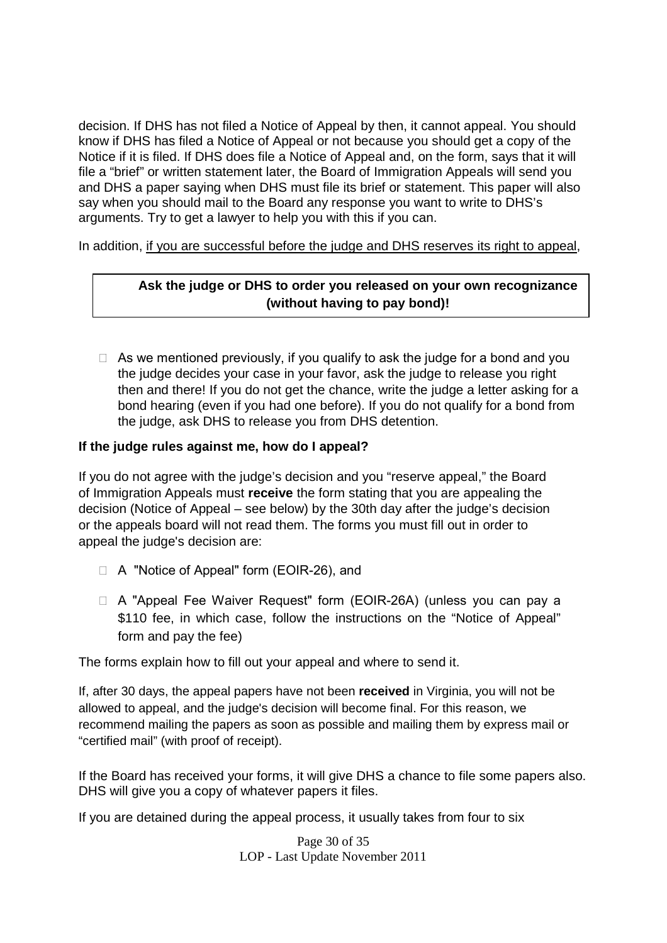decision. If DHS has not filed a Notice of Appeal by then, it cannot appeal. You should know if DHS has filed a Notice of Appeal or not because you should get a copy of the Notice if it is filed. If DHS does file a Notice of Appeal and, on the form, says that it will file a "brief" or written statement later, the Board of Immigration Appeals will send you and DHS a paper saying when DHS must file its brief or statement. This paper will also say when you should mail to the Board any response you want to write to DHS's arguments. Try to get a lawyer to help you with this if you can.

In addition, if you are successful before the judge and DHS reserves its right to appeal,

### **Ask the judge or DHS to order you released on your own recognizance (without having to pay bond)!**

 $\Box$  As we mentioned previously, if you qualify to ask the judge for a bond and you the judge decides your case in your favor, ask the judge to release you right then and there! If you do not get the chance, write the judge a letter asking for a bond hearing (even if you had one before). If you do not qualify for a bond from the judge, ask DHS to release you from DHS detention.

### **If the judge rules against me, how do I appeal?**

If you do not agree with the judge's decision and you "reserve appeal," the Board of Immigration Appeals must **receive** the form stating that you are appealing the decision (Notice of Appeal – see below) by the 30th day after the judge's decision or the appeals board will not read them. The forms you must fill out in order to appeal the judge's decision are:

- □ A "Notice of Appeal" form (EOIR-26), and
- □ A "Appeal Fee Waiver Request" form (EOIR-26A) (unless you can pay a \$110 fee, in which case, follow the instructions on the "Notice of Appeal" form and pay the fee)

The forms explain how to fill out your appeal and where to send it.

If, after 30 days, the appeal papers have not been **received** in Virginia, you will not be allowed to appeal, and the judge's decision will become final. For this reason, we recommend mailing the papers as soon as possible and mailing them by express mail or "certified mail" (with proof of receipt).

If the Board has received your forms, it will give DHS a chance to file some papers also. DHS will give you a copy of whatever papers it files.

If you are detained during the appeal process, it usually takes from four to six

Page 30 of 35 LOP - Last Update November 2011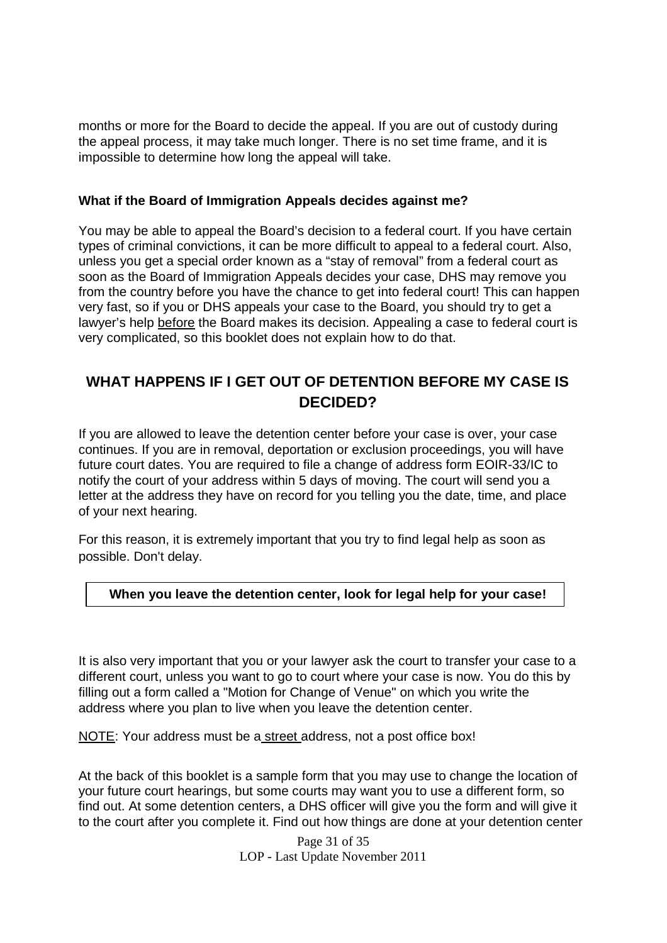months or more for the Board to decide the appeal. If you are out of custody during the appeal process, it may take much longer. There is no set time frame, and it is impossible to determine how long the appeal will take.

#### **What if the Board of Immigration Appeals decides against me?**

You may be able to appeal the Board's decision to a federal court. If you have certain types of criminal convictions, it can be more difficult to appeal to a federal court. Also, unless you get a special order known as a "stay of removal" from a federal court as soon as the Board of Immigration Appeals decides your case, DHS may remove you from the country before you have the chance to get into federal court! This can happen very fast, so if you or DHS appeals your case to the Board, you should try to get a lawyer's help before the Board makes its decision. Appealing a case to federal court is very complicated, so this booklet does not explain how to do that.

### **WHAT HAPPENS IF I GET OUT OF DETENTION BEFORE MY CASE IS DECIDED?**

If you are allowed to leave the detention center before your case is over, your case continues. If you are in removal, deportation or exclusion proceedings, you will have future court dates. You are required to file a change of address form EOIR-33/IC to notify the court of your address within 5 days of moving. The court will send you a letter at the address they have on record for you telling you the date, time, and place of your next hearing.

For this reason, it is extremely important that you try to find legal help as soon as possible. Don't delay.

### **When you leave the detention center, look for legal help for your case!**

It is also very important that you or your lawyer ask the court to transfer your case to a different court, unless you want to go to court where your case is now. You do this by filling out a form called a "Motion for Change of Venue" on which you write the address where you plan to live when you leave the detention center.

NOTE: Your address must be a street address, not a post office box!

At the back of this booklet is a sample form that you may use to change the location of your future court hearings, but some courts may want you to use a different form, so find out. At some detention centers, a DHS officer will give you the form and will give it to the court after you complete it. Find out how things are done at your detention center

> Page 31 of 35 LOP - Last Update November 2011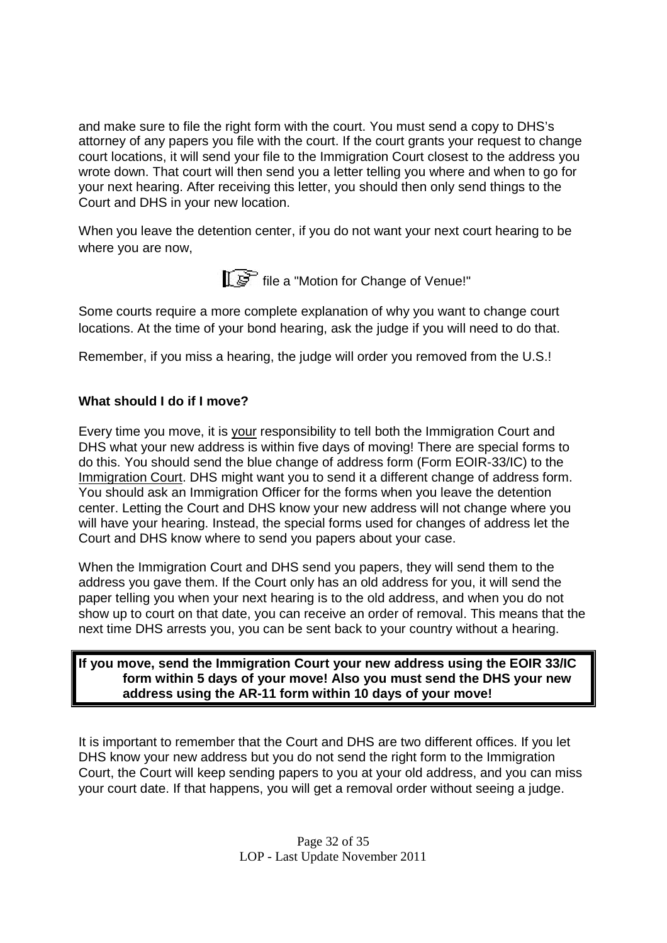and make sure to file the right form with the court. You must send a copy to DHS's attorney of any papers you file with the court. If the court grants your request to change court locations, it will send your file to the Immigration Court closest to the address you wrote down. That court will then send you a letter telling you where and when to go for your next hearing. After receiving this letter, you should then only send things to the Court and DHS in your new location.

When you leave the detention center, if you do not want your next court hearing to be where you are now,

file a "Motion for Change of Venue!"

Some courts require a more complete explanation of why you want to change court locations. At the time of your bond hearing, ask the judge if you will need to do that.

Remember, if you miss a hearing, the judge will order you removed from the U.S.!

### **What should I do if I move?**

Every time you move, it is your responsibility to tell both the Immigration Court and DHS what your new address is within five days of moving! There are special forms to do this. You should send the blue change of address form (Form EOIR-33/IC) to the Immigration Court. DHS might want you to send it a different change of address form. You should ask an Immigration Officer for the forms when you leave the detention center. Letting the Court and DHS know your new address will not change where you will have your hearing. Instead, the special forms used for changes of address let the Court and DHS know where to send you papers about your case.

When the Immigration Court and DHS send you papers, they will send them to the address you gave them. If the Court only has an old address for you, it will send the paper telling you when your next hearing is to the old address, and when you do not show up to court on that date, you can receive an order of removal. This means that the next time DHS arrests you, you can be sent back to your country without a hearing.

### **If you move, send the Immigration Court your new address using the EOIR 33/IC form within 5 days of your move! Also you must send the DHS your new address using the AR-11 form within 10 days of your move!**

It is important to remember that the Court and DHS are two different offices. If you let DHS know your new address but you do not send the right form to the Immigration Court, the Court will keep sending papers to you at your old address, and you can miss your court date. If that happens, you will get a removal order without seeing a judge.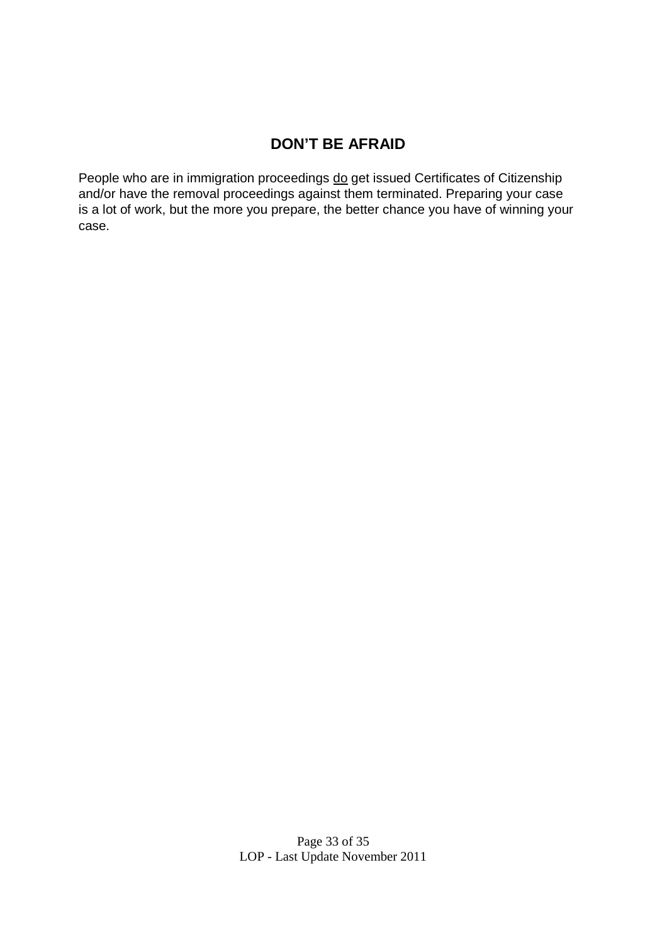# **DON'T BE AFRAID**

People who are in immigration proceedings do get issued Certificates of Citizenship and/or have the removal proceedings against them terminated. Preparing your case is a lot of work, but the more you prepare, the better chance you have of winning your case.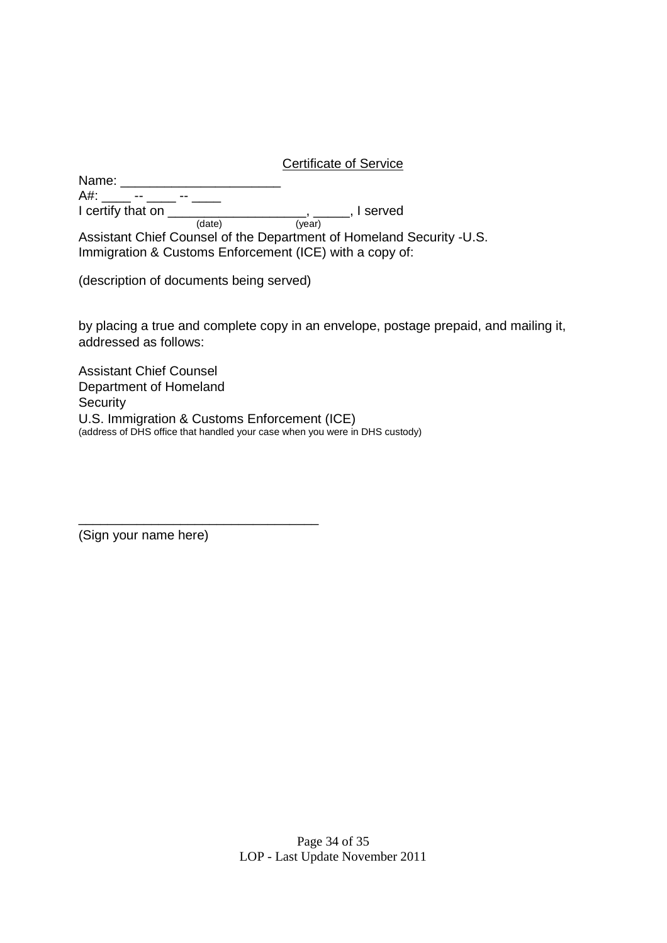Certificate of Service

Name: \_\_\_\_\_\_\_\_\_\_\_\_\_\_\_\_\_\_\_\_\_\_ A#: \_\_\_\_\_\_ -- \_\_\_\_\_ -- \_\_\_\_\_ I certify that on \_\_\_\_\_\_\_\_\_\_\_\_\_\_\_\_\_\_\_\_\_, \_\_\_\_\_, I served (date) (year) Assistant Chief Counsel of the Department of Homeland Security -U.S.

Immigration & Customs Enforcement (ICE) with a copy of:

(description of documents being served)

\_\_\_\_\_\_\_\_\_\_\_\_\_\_\_\_\_\_\_\_\_\_\_\_\_\_\_\_\_\_\_\_\_

by placing a true and complete copy in an envelope, postage prepaid, and mailing it, addressed as follows:

Assistant Chief Counsel Department of Homeland **Security** U.S. Immigration & Customs Enforcement (ICE) (address of DHS office that handled your case when you were in DHS custody)

(Sign your name here)